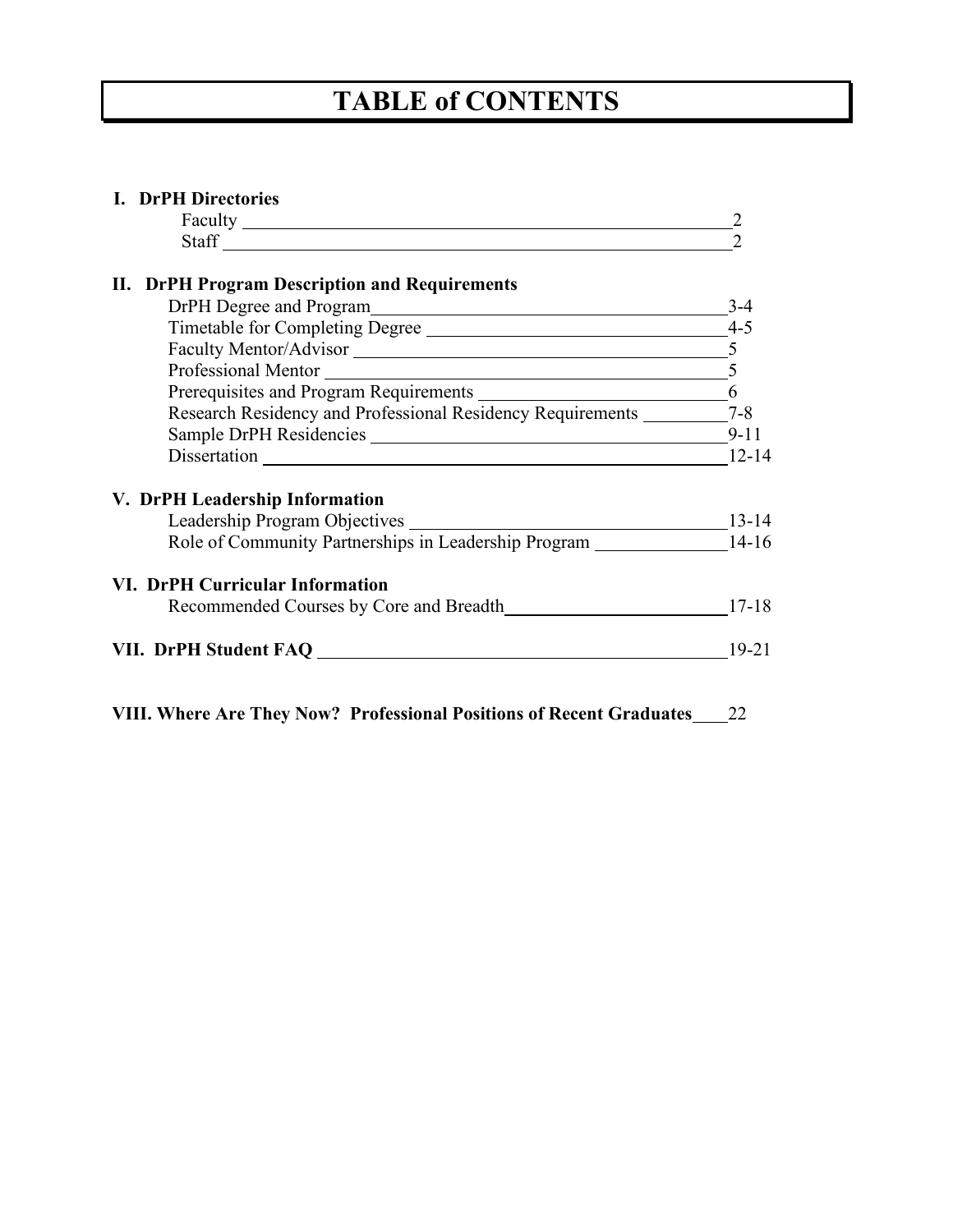## **TABLE of CONTENTS**

| <b>I. DrPH Directories</b>                                                                                                                                                                                                           |           |
|--------------------------------------------------------------------------------------------------------------------------------------------------------------------------------------------------------------------------------------|-----------|
| Faculty <u>and the contract of the contract of the contract of the contract of the contract of the contract of the contract of the contract of the contract of the contract of the contract of the contract of the contract of t</u> |           |
|                                                                                                                                                                                                                                      |           |
|                                                                                                                                                                                                                                      |           |
| II. DrPH Program Description and Requirements                                                                                                                                                                                        |           |
| DrPH Degree and Program                                                                                                                                                                                                              | $3-4$     |
| Timetable for Completing Degree                                                                                                                                                                                                      |           |
| Faculty Mentor/Advisor 5                                                                                                                                                                                                             |           |
| Professional Mentor                                                                                                                                                                                                                  |           |
|                                                                                                                                                                                                                                      | 6         |
|                                                                                                                                                                                                                                      |           |
|                                                                                                                                                                                                                                      | $9 - 11$  |
|                                                                                                                                                                                                                                      | $12 - 14$ |
|                                                                                                                                                                                                                                      |           |
| V. DrPH Leadership Information                                                                                                                                                                                                       |           |
|                                                                                                                                                                                                                                      |           |
| Role of Community Partnerships in Leadership Program ___________________14-16                                                                                                                                                        |           |
|                                                                                                                                                                                                                                      |           |
| <b>VI. DrPH Curricular Information</b>                                                                                                                                                                                               |           |
| Recommended Courses by Core and Breadth                                                                                                                                                                                              | 17-18     |
|                                                                                                                                                                                                                                      |           |
| VII. DrPH Student FAQ                                                                                                                                                                                                                | 19-21     |
|                                                                                                                                                                                                                                      |           |

**VIII. Where Are They Now? Professional Positions of Recent Graduates\_\_22**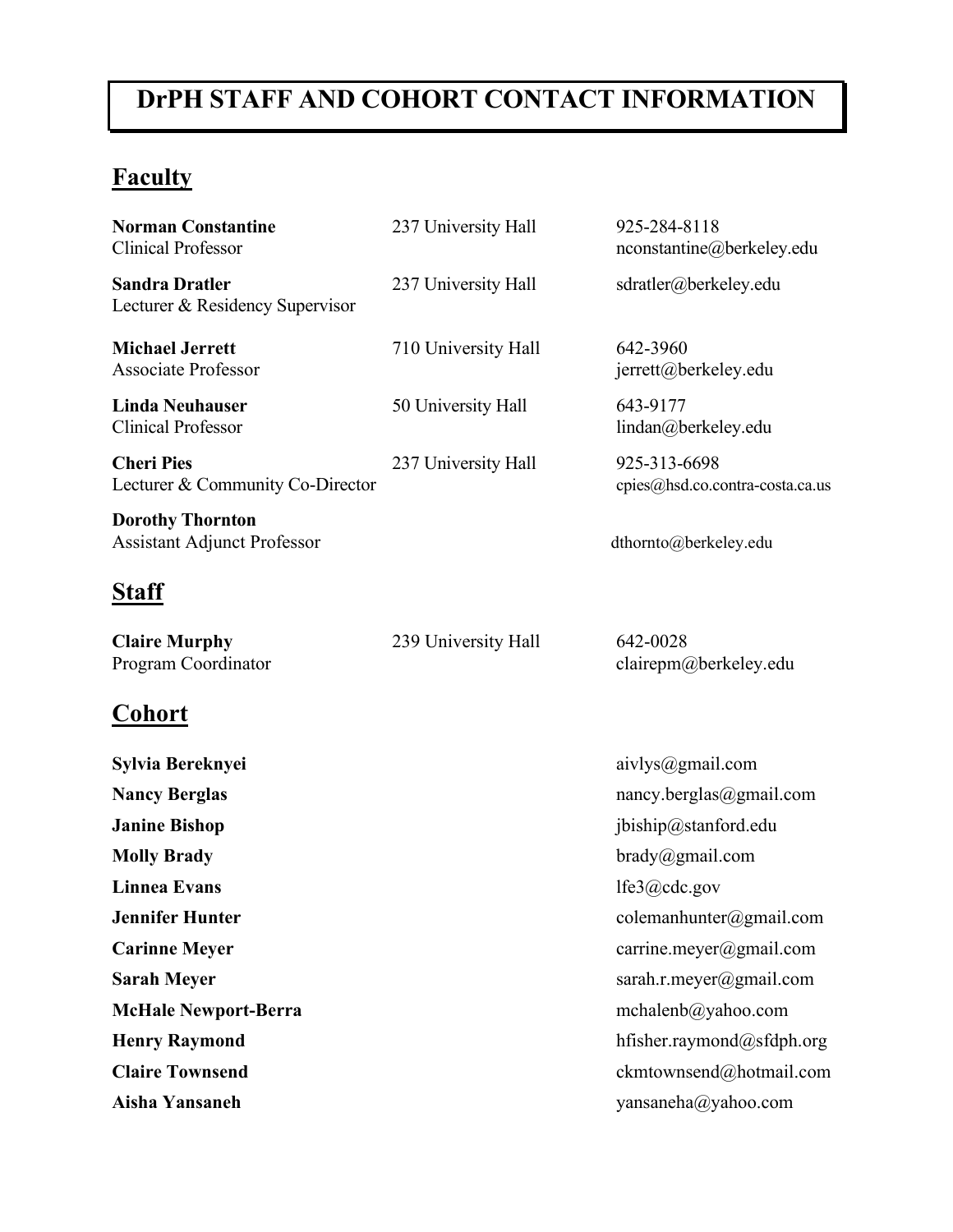### **DrPH STAFF AND COHORT CONTACT INFORMATION**

### **Faculty**

| <b>Norman Constantine</b><br><b>Clinical Professor</b>        | 237 University Hall | 925-284-8118<br>nconstantine@berkeley.edu       |
|---------------------------------------------------------------|---------------------|-------------------------------------------------|
| <b>Sandra Dratler</b><br>Lecturer & Residency Supervisor      | 237 University Hall | sdratler@berkeley.edu                           |
| <b>Michael Jerrett</b><br><b>Associate Professor</b>          | 710 University Hall | 642-3960<br>$j$ errett@berkeley.edu             |
| <b>Linda Neuhauser</b><br><b>Clinical Professor</b>           | 50 University Hall  | 643-9177<br>lindan@berkeley.edu                 |
| <b>Cheri Pies</b><br>Lecturer & Community Co-Director         | 237 University Hall | 925-313-6698<br>cpies@hsd.co.contra-costa.ca.us |
| <b>Dorothy Thornton</b><br><b>Assistant Adjunct Professor</b> |                     | dthornto@berkeley.edu                           |
| <b>Staff</b>                                                  |                     |                                                 |
| <b>Claire Murphy</b><br>Program Coordinator                   | 239 University Hall | 642-0028<br>clairepm $@$ berkeley.edu           |
| Cohort                                                        |                     |                                                 |
| Sylvia Bereknyei                                              |                     | aivlys@gmail.com                                |
| <b>Nancy Berglas</b>                                          |                     | nancy.berglas@gmail.com                         |

**Janine Bishop** jbiship@stanford.edu **Molly Brady** brady@gmail.com **Linnea Evans** lfe3@cdc.gov **Jennifer Hunter Colemanhunter Colemanhunter Colemanhunter Colemanhunter Colemanhunter Colemanhunter Colemanhunter Colemanhunter Colemanhunter Colemanhunter Colemanhunter Colemanhunter Colemanhunt Carinne Meyer Carinne Meyer** carrine.meyer@gmail.com **Sarah Meyer** sarah.r.meyer@gmail.com **McHale Newport-Berra** mchalenb@yahoo.com

**Henry Raymond** hfisher.raymond@sfdph.org **Claire Townsend Claire Townsend ckmtownsend chaire ckmtownsend** *chaire* **c***kmtownsend chaire com* **Aisha Yansaneh** [yansaneha@yahoo.com](mailto:yansaneha@yahoo.com%20%20%20%20%20%20%20914-831-8261)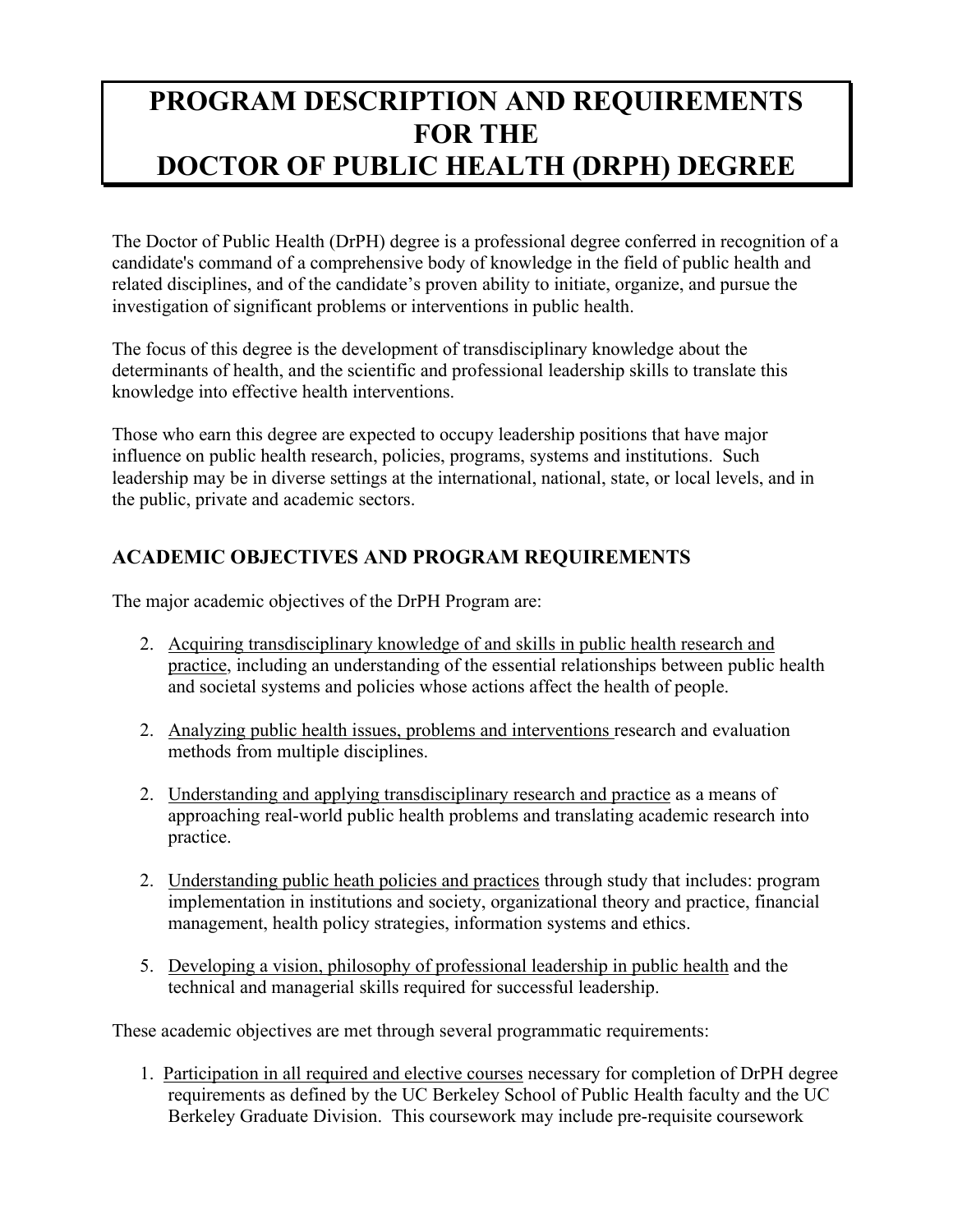### **PROGRAM DESCRIPTION AND REQUIREMENTS FOR THE DOCTOR OF PUBLIC HEALTH (DRPH) DEGREE**

The Doctor of Public Health (DrPH) degree is a professional degree conferred in recognition of a candidate's command of a comprehensive body of knowledge in the field of public health and related disciplines, and of the candidate's proven ability to initiate, organize, and pursue the investigation of significant problems or interventions in public health.

The focus of this degree is the development of transdisciplinary knowledge about the determinants of health, and the scientific and professional leadership skills to translate this knowledge into effective health interventions.

Those who earn this degree are expected to occupy leadership positions that have major influence on public health research, policies, programs, systems and institutions. Such leadership may be in diverse settings at the international, national, state, or local levels, and in the public, private and academic sectors.

#### **ACADEMIC OBJECTIVES AND PROGRAM REQUIREMENTS**

The major academic objectives of the DrPH Program are:

- 2. Acquiring transdisciplinary knowledge of and skills in public health research and practice, including an understanding of the essential relationships between public health and societal systems and policies whose actions affect the health of people.
- 2. Analyzing public health issues, problems and interventions research and evaluation methods from multiple disciplines.
- 2. Understanding and applying transdisciplinary research and practice as a means of approaching real-world public health problems and translating academic research into practice.
- 2. Understanding public heath policies and practices through study that includes: program implementation in institutions and society, organizational theory and practice, financial management, health policy strategies, information systems and ethics.
- 5. Developing a vision, philosophy of professional leadership in public health and the technical and managerial skills required for successful leadership.

These academic objectives are met through several programmatic requirements:

1. Participation in all required and elective courses necessary for completion of DrPH degree requirements as defined by the UC Berkeley School of Public Health faculty and the UC Berkeley Graduate Division. This coursework may include pre-requisite coursework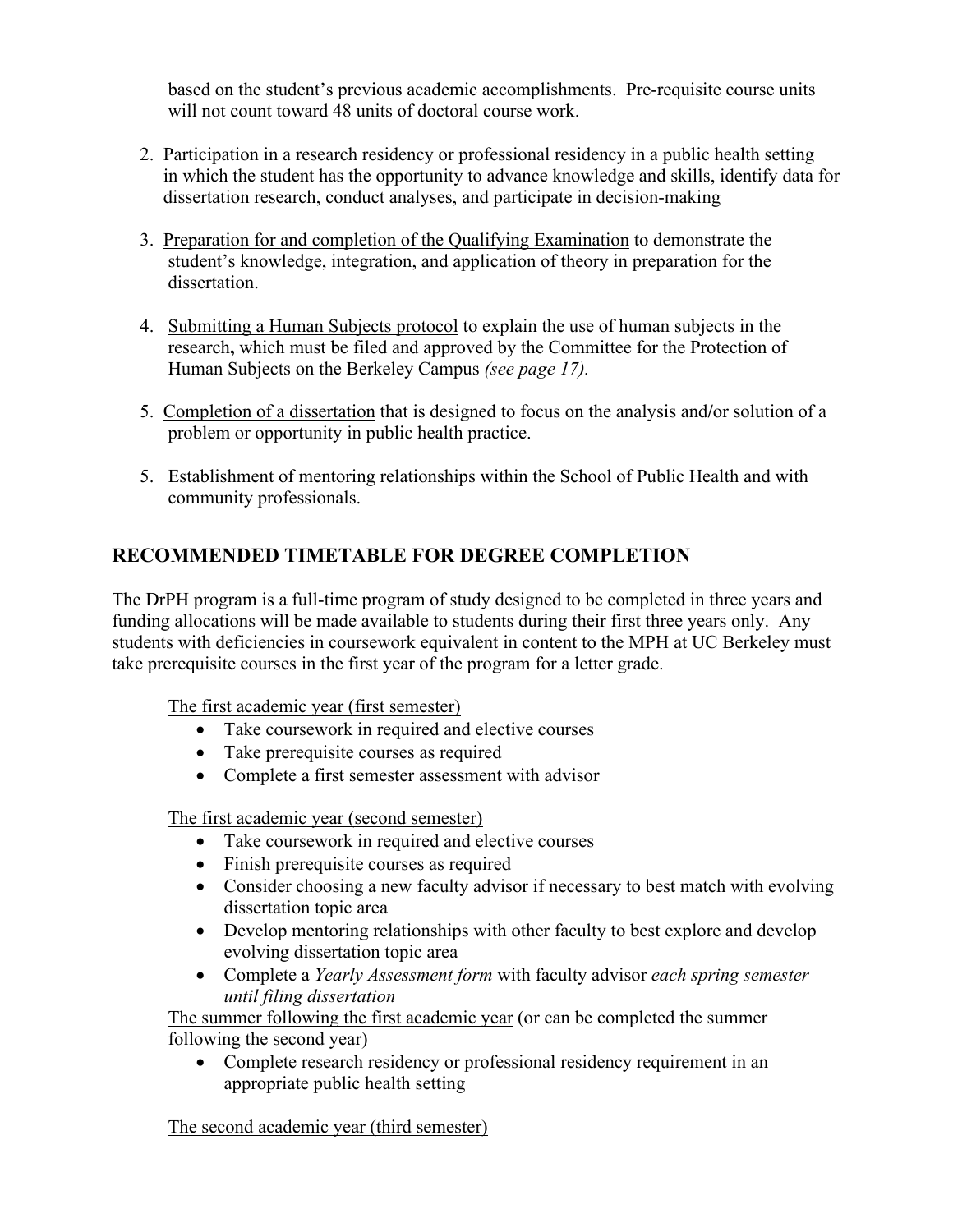based on the student's previous academic accomplishments. Pre-requisite course units will not count toward 48 units of doctoral course work.

- 2. Participation in a research residency or professional residency in a public health setting in which the student has the opportunity to advance knowledge and skills, identify data for dissertation research, conduct analyses, and participate in decision-making
- 3. Preparation for and completion of the Qualifying Examination to demonstrate the student's knowledge, integration, and application of theory in preparation for the dissertation.
- 4. Submitting a Human Subjects protocol to explain the use of human subjects in the research**,** which must be filed and approved by the Committee for the Protection of Human Subjects on the Berkeley Campus *(see page 17).*
- 5. Completion of a dissertation that is designed to focus on the analysis and**/**or solution of a problem or opportunity in public health practice.
- 5. Establishment of mentoring relationships within the School of Public Health and with community professionals.

#### **RECOMMENDED TIMETABLE FOR DEGREE COMPLETION**

The DrPH program is a full-time program of study designed to be completed in three years and funding allocations will be made available to students during their first three years only. Any students with deficiencies in coursework equivalent in content to the MPH at UC Berkeley must take prerequisite courses in the first year of the program for a letter grade.

The first academic year (first semester)

- Take coursework in required and elective courses
- Take prerequisite courses as required
- Complete a first semester assessment with advisor

The first academic year (second semester)

- Take coursework in required and elective courses
- Finish prerequisite courses as required
- Consider choosing a new faculty advisor if necessary to best match with evolving dissertation topic area
- Develop mentoring relationships with other faculty to best explore and develop evolving dissertation topic area
- Complete a *Yearly Assessment form* with faculty advisor *each spring semester until filing dissertation*

The summer following the first academic year (or can be completed the summer following the second year)

• Complete research residency or professional residency requirement in an appropriate public health setting

The second academic year (third semester)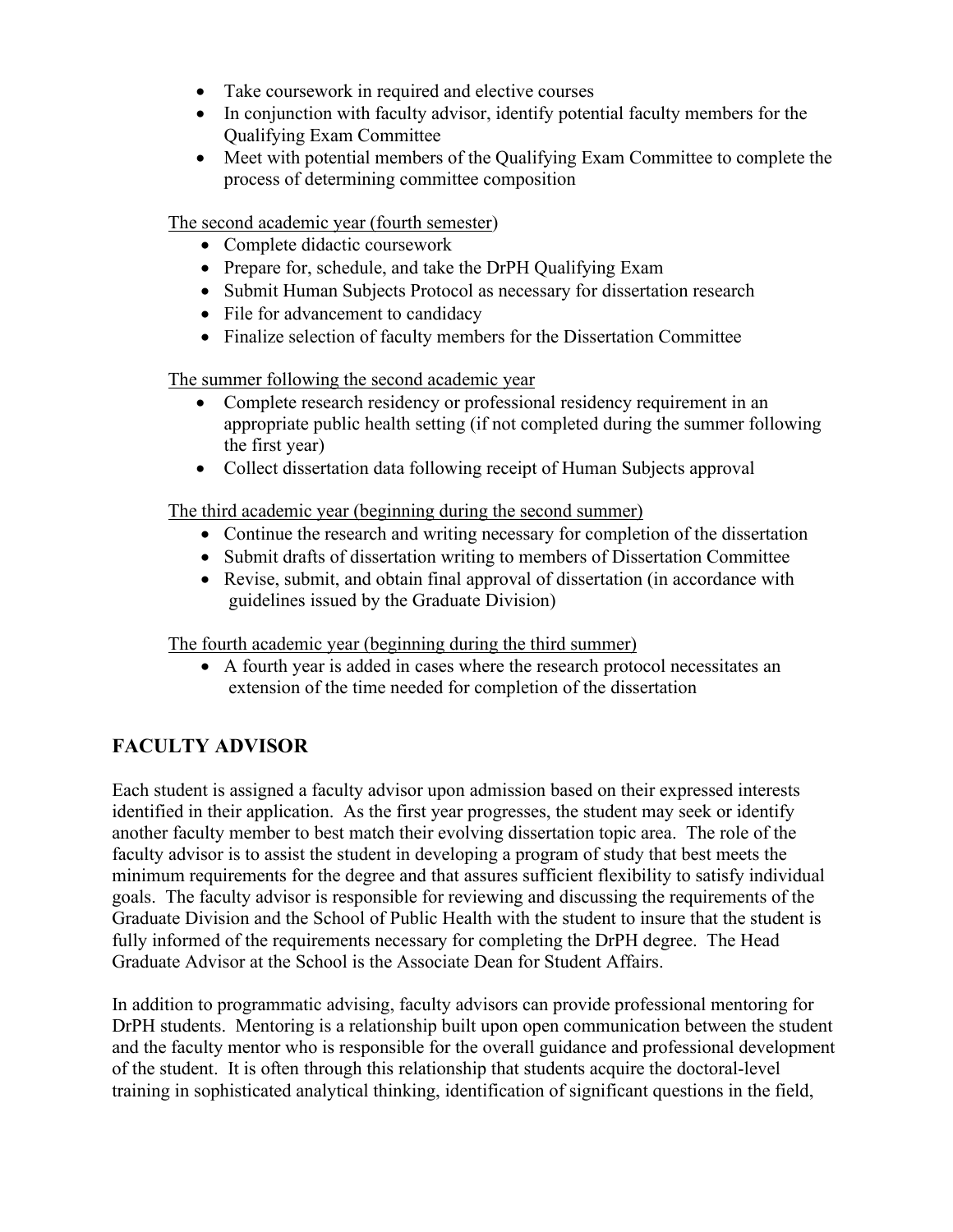- Take coursework in required and elective courses
- In conjunction with faculty advisor, identify potential faculty members for the Qualifying Exam Committee
- Meet with potential members of the Qualifying Exam Committee to complete the process of determining committee composition

The second academic year (fourth semester)

- Complete didactic coursework
- Prepare for, schedule, and take the DrPH Qualifying Exam
- Submit Human Subjects Protocol as necessary for dissertation research
- File for advancement to candidacy
- Finalize selection of faculty members for the Dissertation Committee

The summer following the second academic year

- Complete research residency or professional residency requirement in an appropriate public health setting (if not completed during the summer following the first year)
- Collect dissertation data following receipt of Human Subjects approval

The third academic year (beginning during the second summer)

- Continue the research and writing necessary for completion of the dissertation
- Submit drafts of dissertation writing to members of Dissertation Committee
- Revise, submit, and obtain final approval of dissertation (in accordance with guidelines issued by the Graduate Division)

The fourth academic year (beginning during the third summer)

• A fourth year is added in cases where the research protocol necessitates an extension of the time needed for completion of the dissertation

#### **FACULTY ADVISOR**

Each student is assigned a faculty advisor upon admission based on their expressed interests identified in their application. As the first year progresses, the student may seek or identify another faculty member to best match their evolving dissertation topic area. The role of the faculty advisor is to assist the student in developing a program of study that best meets the minimum requirements for the degree and that assures sufficient flexibility to satisfy individual goals. The faculty advisor is responsible for reviewing and discussing the requirements of the Graduate Division and the School of Public Health with the student to insure that the student is fully informed of the requirements necessary for completing the DrPH degree. The Head Graduate Advisor at the School is the Associate Dean for Student Affairs.

In addition to programmatic advising, faculty advisors can provide professional mentoring for DrPH students. Mentoring is a relationship built upon open communication between the student and the faculty mentor who is responsible for the overall guidance and professional development of the student. It is often through this relationship that students acquire the doctoral-level training in sophisticated analytical thinking, identification of significant questions in the field,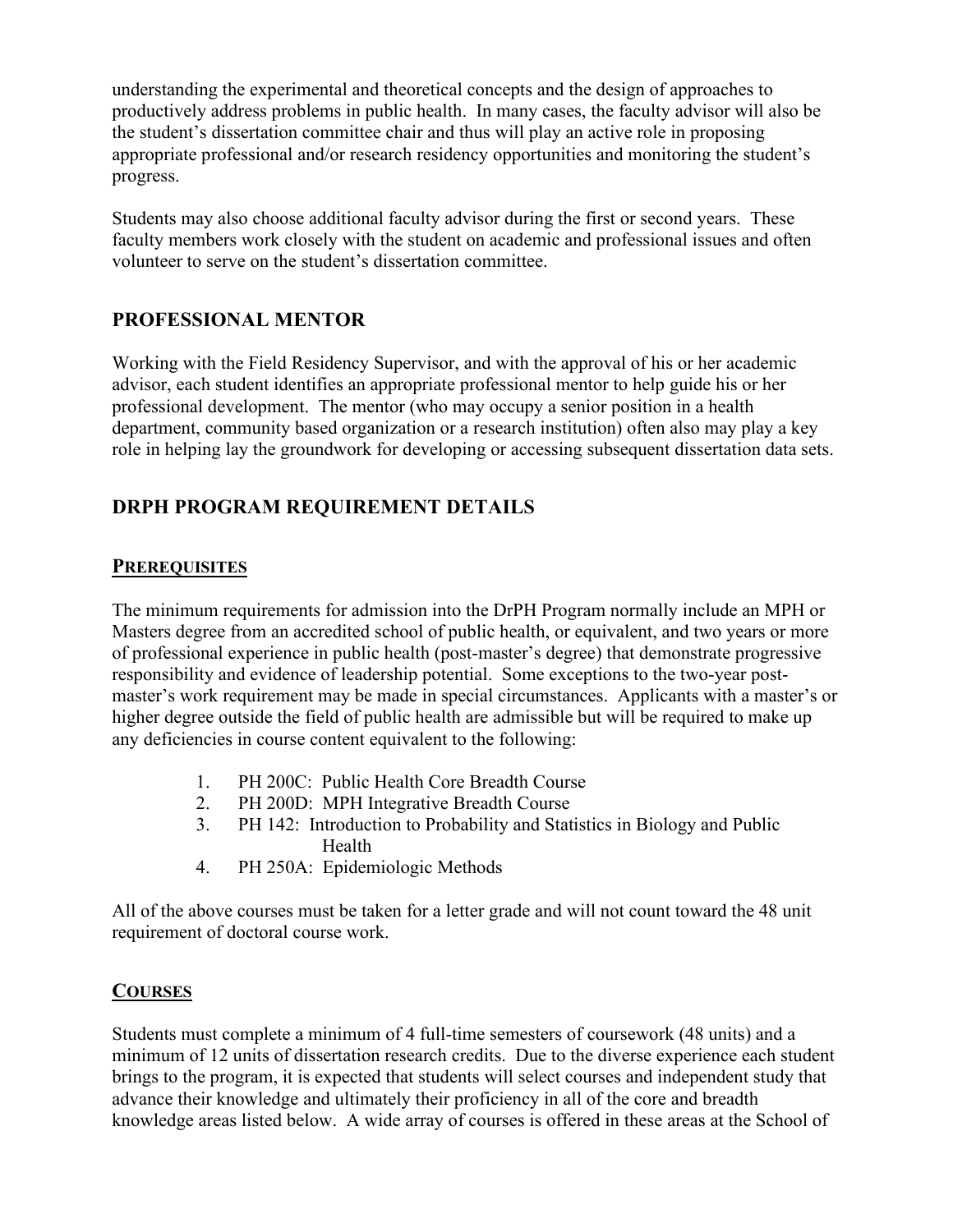understanding the experimental and theoretical concepts and the design of approaches to productively address problems in public health. In many cases, the faculty advisor will also be the student's dissertation committee chair and thus will play an active role in proposing appropriate professional and/or research residency opportunities and monitoring the student's progress.

Students may also choose additional faculty advisor during the first or second years. These faculty members work closely with the student on academic and professional issues and often volunteer to serve on the student's dissertation committee.

#### **PROFESSIONAL MENTOR**

Working with the Field Residency Supervisor, and with the approval of his or her academic advisor, each student identifies an appropriate professional mentor to help guide his or her professional development. The mentor (who may occupy a senior position in a health department, community based organization or a research institution) often also may play a key role in helping lay the groundwork for developing or accessing subsequent dissertation data sets.

#### **DRPH PROGRAM REQUIREMENT DETAILS**

#### **PREREQUISITES**

The minimum requirements for admission into the DrPH Program normally include an MPH or Masters degree from an accredited school of public health, or equivalent, and two years or more of professional experience in public health (post-master's degree) that demonstrate progressive responsibility and evidence of leadership potential. Some exceptions to the two-year postmaster's work requirement may be made in special circumstances. Applicants with a master's or higher degree outside the field of public health are admissible but will be required to make up any deficiencies in course content equivalent to the following:

- 1. PH 200C: Public Health Core Breadth Course
- 2. PH 200D: MPH Integrative Breadth Course
- 3. PH 142: Introduction to Probability and Statistics in Biology and Public Health
- 4. PH 250A: Epidemiologic Methods

All of the above courses must be taken for a letter grade and will not count toward the 48 unit requirement of doctoral course work.

#### **COURSES**

Students must complete a minimum of 4 full-time semesters of coursework (48 units) and a minimum of 12 units of dissertation research credits. Due to the diverse experience each student brings to the program, it is expected that students will select courses and independent study that advance their knowledge and ultimately their proficiency in all of the core and breadth knowledge areas listed below. A wide array of courses is offered in these areas at the School of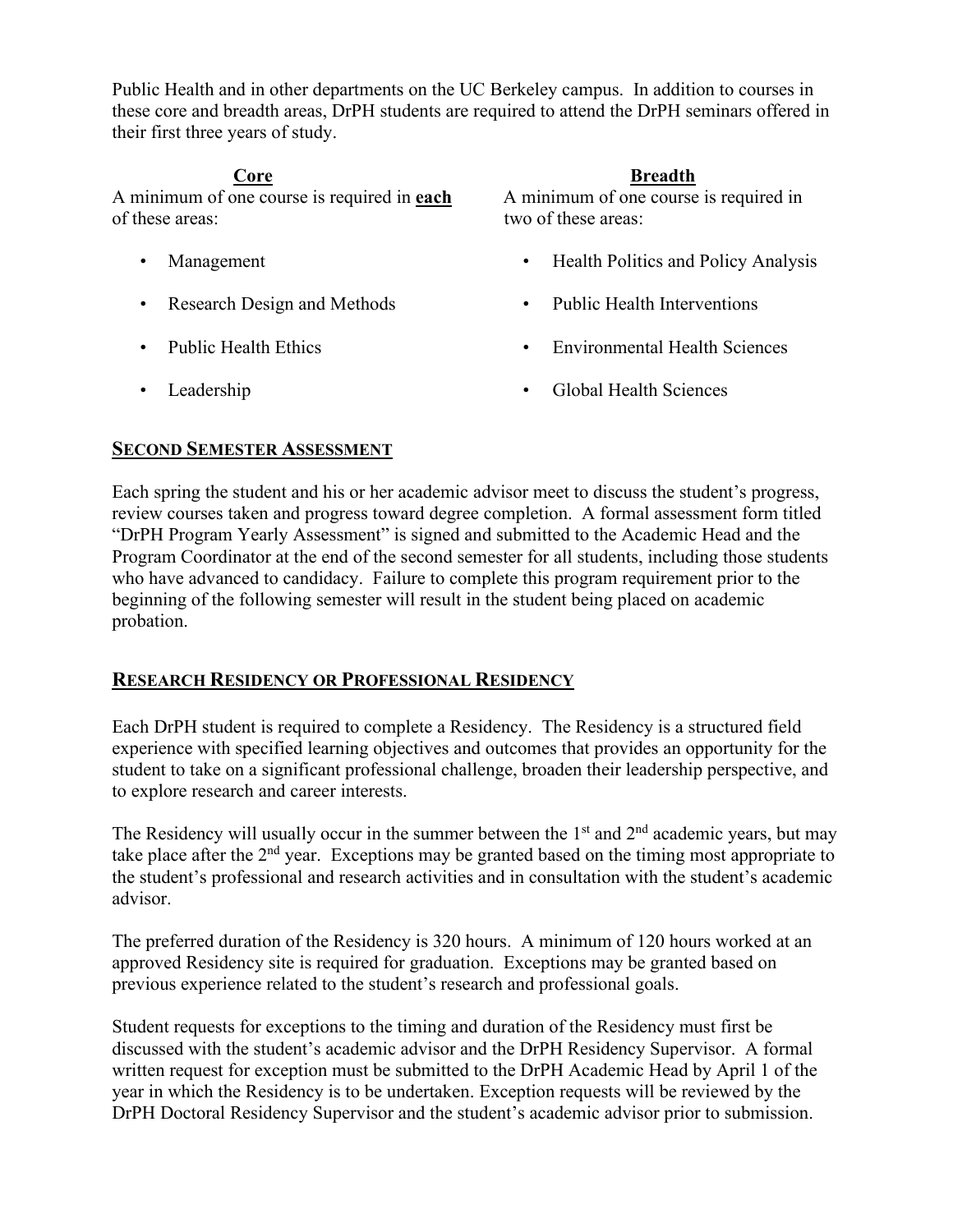Public Health and in other departments on the UC Berkeley campus. In addition to courses in these core and breadth areas, DrPH students are required to attend the DrPH seminars offered in their first three years of study.

A minimum of one course is required in **each** A minimum of one course is required in of these areas: two of these areas:

- 
- Research Design and Methods Public Health Interventions
- 

**Core** Breadth

- Management Health Politics and Policy Analysis
	-
- Public Health Ethics  **Environmental Health Sciences**
- 
- Leadership Global Health Sciences

#### **SECOND SEMESTER ASSESSMENT**

Each spring the student and his or her academic advisor meet to discuss the student's progress, review courses taken and progress toward degree completion. A formal assessment form titled "DrPH Program Yearly Assessment" is signed and submitted to the Academic Head and the Program Coordinator at the end of the second semester for all students, including those students who have advanced to candidacy. Failure to complete this program requirement prior to the beginning of the following semester will result in the student being placed on academic probation.

#### **RESEARCH RESIDENCY OR PROFESSIONAL RESIDENCY**

Each DrPH student is required to complete a Residency. The Residency is a structured field experience with specified learning objectives and outcomes that provides an opportunity for the student to take on a significant professional challenge, broaden their leadership perspective, and to explore research and career interests.

The Residency will usually occur in the summer between the  $1<sup>st</sup>$  and  $2<sup>nd</sup>$  academic years, but may take place after the  $2<sup>nd</sup>$  year. Exceptions may be granted based on the timing most appropriate to the student's professional and research activities and in consultation with the student's academic advisor.

The preferred duration of the Residency is 320 hours. A minimum of 120 hours worked at an approved Residency site is required for graduation. Exceptions may be granted based on previous experience related to the student's research and professional goals.

Student requests for exceptions to the timing and duration of the Residency must first be discussed with the student's academic advisor and the DrPH Residency Supervisor. A formal written request for exception must be submitted to the DrPH Academic Head by April 1 of the year in which the Residency is to be undertaken. Exception requests will be reviewed by the DrPH Doctoral Residency Supervisor and the student's academic advisor prior to submission.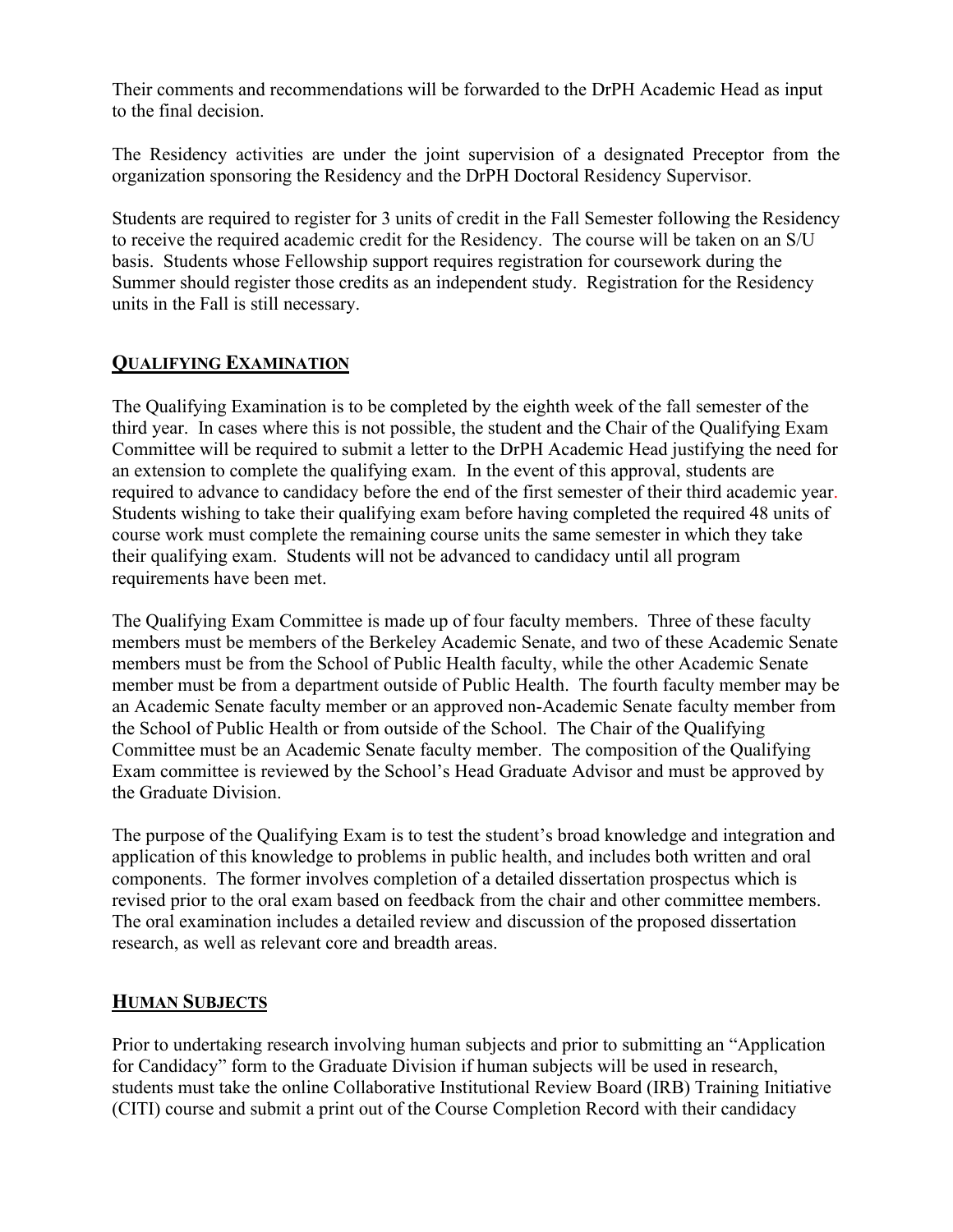Their comments and recommendations will be forwarded to the DrPH Academic Head as input to the final decision.

The Residency activities are under the joint supervision of a designated Preceptor from the organization sponsoring the Residency and the DrPH Doctoral Residency Supervisor.

Students are required to register for 3 units of credit in the Fall Semester following the Residency to receive the required academic credit for the Residency. The course will be taken on an S/U basis. Students whose Fellowship support requires registration for coursework during the Summer should register those credits as an independent study. Registration for the Residency units in the Fall is still necessary.

#### **QUALIFYING EXAMINATION**

The Qualifying Examination is to be completed by the eighth week of the fall semester of the third year. In cases where this is not possible, the student and the Chair of the Qualifying Exam Committee will be required to submit a letter to the DrPH Academic Head justifying the need for an extension to complete the qualifying exam. In the event of this approval, students are required to advance to candidacy before the end of the first semester of their third academic year. Students wishing to take their qualifying exam before having completed the required 48 units of course work must complete the remaining course units the same semester in which they take their qualifying exam. Students will not be advanced to candidacy until all program requirements have been met.

The Qualifying Exam Committee is made up of four faculty members. Three of these faculty members must be members of the Berkeley Academic Senate, and two of these Academic Senate members must be from the School of Public Health faculty, while the other Academic Senate member must be from a department outside of Public Health. The fourth faculty member may be an Academic Senate faculty member or an approved non-Academic Senate faculty member from the School of Public Health or from outside of the School. The Chair of the Qualifying Committee must be an Academic Senate faculty member. The composition of the Qualifying Exam committee is reviewed by the School's Head Graduate Advisor and must be approved by the Graduate Division.

The purpose of the Qualifying Exam is to test the student's broad knowledge and integration and application of this knowledge to problems in public health, and includes both written and oral components. The former involves completion of a detailed dissertation prospectus which is revised prior to the oral exam based on feedback from the chair and other committee members. The oral examination includes a detailed review and discussion of the proposed dissertation research, as well as relevant core and breadth areas.

#### **HUMAN SUBJECTS**

Prior to undertaking research involving human subjects and prior to submitting an "Application for Candidacy" form to the Graduate Division if human subjects will be used in research, students must take the online Collaborative Institutional Review Board (IRB) Training Initiative (CITI) course and submit a print out of the Course Completion Record with their candidacy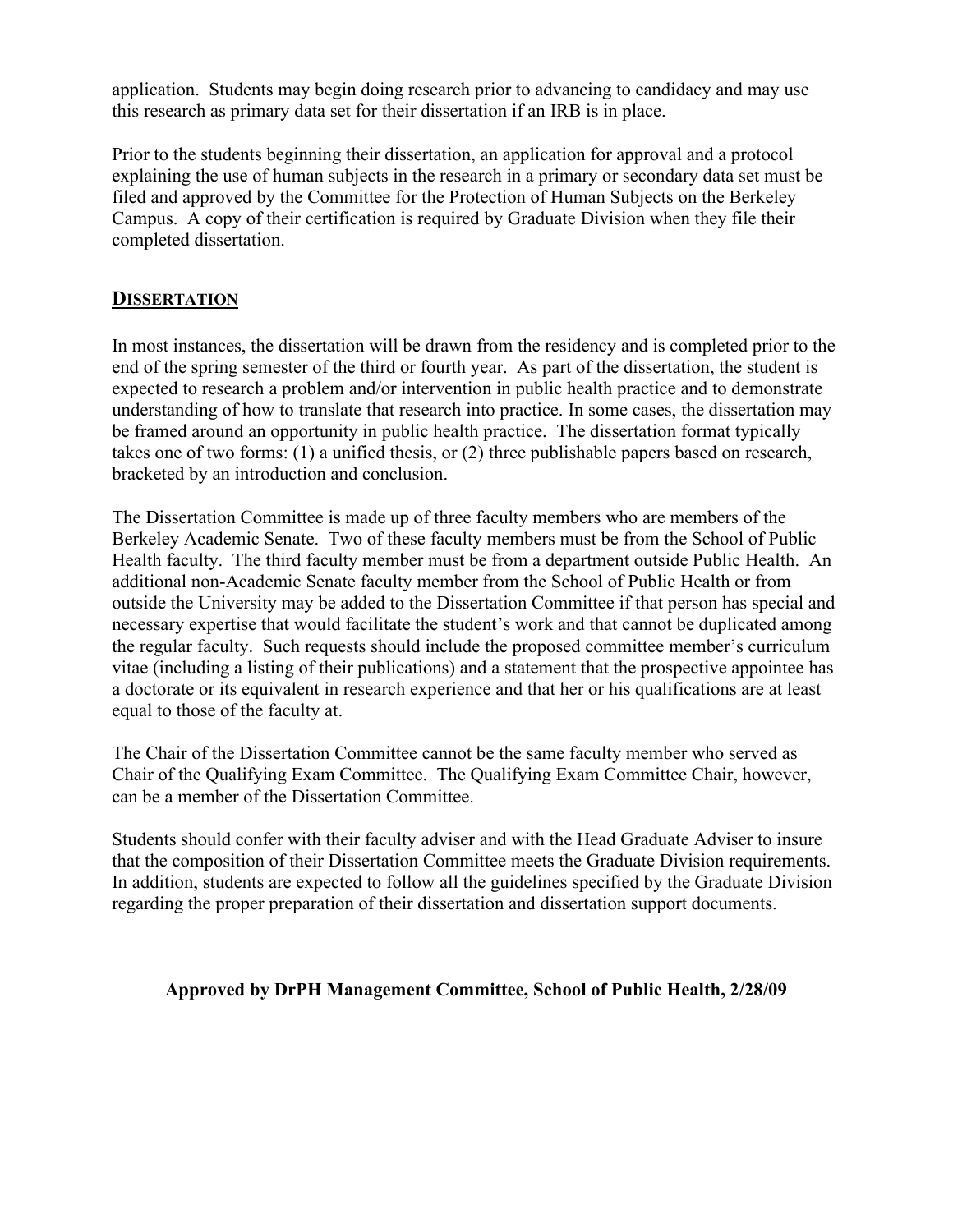application. Students may begin doing research prior to advancing to candidacy and may use this research as primary data set for their dissertation if an IRB is in place.

Prior to the students beginning their dissertation, an application for approval and a protocol explaining the use of human subjects in the research in a primary or secondary data set must be filed and approved by the Committee for the Protection of Human Subjects on the Berkeley Campus. A copy of their certification is required by Graduate Division when they file their completed dissertation.

#### **DISSERTATION**

In most instances, the dissertation will be drawn from the residency and is completed prior to the end of the spring semester of the third or fourth year. As part of the dissertation, the student is expected to research a problem and/or intervention in public health practice and to demonstrate understanding of how to translate that research into practice. In some cases, the dissertation may be framed around an opportunity in public health practice. The dissertation format typically takes one of two forms: (1) a unified thesis, or (2) three publishable papers based on research, bracketed by an introduction and conclusion.

The Dissertation Committee is made up of three faculty members who are members of the Berkeley Academic Senate. Two of these faculty members must be from the School of Public Health faculty. The third faculty member must be from a department outside Public Health. An additional non-Academic Senate faculty member from the School of Public Health or from outside the University may be added to the Dissertation Committee if that person has special and necessary expertise that would facilitate the student's work and that cannot be duplicated among the regular faculty. Such requests should include the proposed committee member's curriculum vitae (including a listing of their publications) and a statement that the prospective appointee has a doctorate or its equivalent in research experience and that her or his qualifications are at least equal to those of the faculty at.

The Chair of the Dissertation Committee cannot be the same faculty member who served as Chair of the Qualifying Exam Committee. The Qualifying Exam Committee Chair, however, can be a member of the Dissertation Committee.

Students should confer with their faculty adviser and with the Head Graduate Adviser to insure that the composition of their Dissertation Committee meets the Graduate Division requirements. In addition, students are expected to follow all the guidelines specified by the Graduate Division regarding the proper preparation of their dissertation and dissertation support documents.

#### **Approved by DrPH Management Committee, School of Public Health, 2/28/09**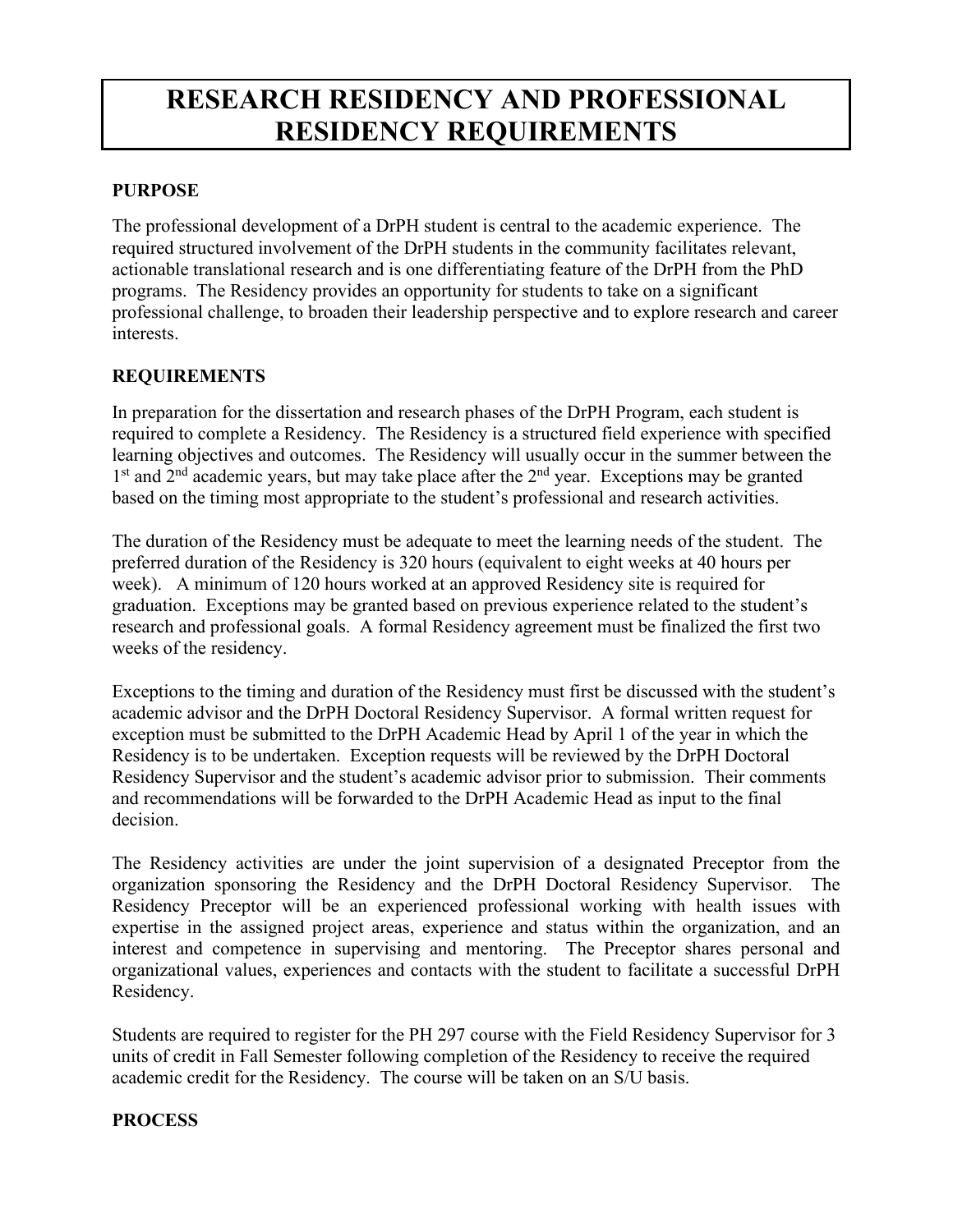### **RESEARCH RESIDENCY AND PROFESSIONAL RESIDENCY REQUIREMENTS**

#### **PURPOSE**

The professional development of a DrPH student is central to the academic experience. The required structured involvement of the DrPH students in the community facilitates relevant, actionable translational research and is one differentiating feature of the DrPH from the PhD programs. The Residency provides an opportunity for students to take on a significant professional challenge, to broaden their leadership perspective and to explore research and career interests.

#### **REQUIREMENTS**

In preparation for the dissertation and research phases of the DrPH Program, each student is required to complete a Residency. The Residency is a structured field experience with specified learning objectives and outcomes. The Residency will usually occur in the summer between the  $1<sup>st</sup>$  and  $2<sup>nd</sup>$  academic years, but may take place after the  $2<sup>nd</sup>$  year. Exceptions may be granted based on the timing most appropriate to the student's professional and research activities.

The duration of the Residency must be adequate to meet the learning needs of the student. The preferred duration of the Residency is 320 hours (equivalent to eight weeks at 40 hours per week). A minimum of 120 hours worked at an approved Residency site is required for graduation. Exceptions may be granted based on previous experience related to the student's research and professional goals. A formal Residency agreement must be finalized the first two weeks of the residency.

Exceptions to the timing and duration of the Residency must first be discussed with the student's academic advisor and the DrPH Doctoral Residency Supervisor. A formal written request for exception must be submitted to the DrPH Academic Head by April 1 of the year in which the Residency is to be undertaken. Exception requests will be reviewed by the DrPH Doctoral Residency Supervisor and the student's academic advisor prior to submission. Their comments and recommendations will be forwarded to the DrPH Academic Head as input to the final decision.

The Residency activities are under the joint supervision of a designated Preceptor from the organization sponsoring the Residency and the DrPH Doctoral Residency Supervisor. The Residency Preceptor will be an experienced professional working with health issues with expertise in the assigned project areas, experience and status within the organization, and an interest and competence in supervising and mentoring. The Preceptor shares personal and organizational values, experiences and contacts with the student to facilitate a successful DrPH Residency.

Students are required to register for the PH 297 course with the Field Residency Supervisor for 3 units of credit in Fall Semester following completion of the Residency to receive the required academic credit for the Residency. The course will be taken on an S/U basis.

#### **PROCESS**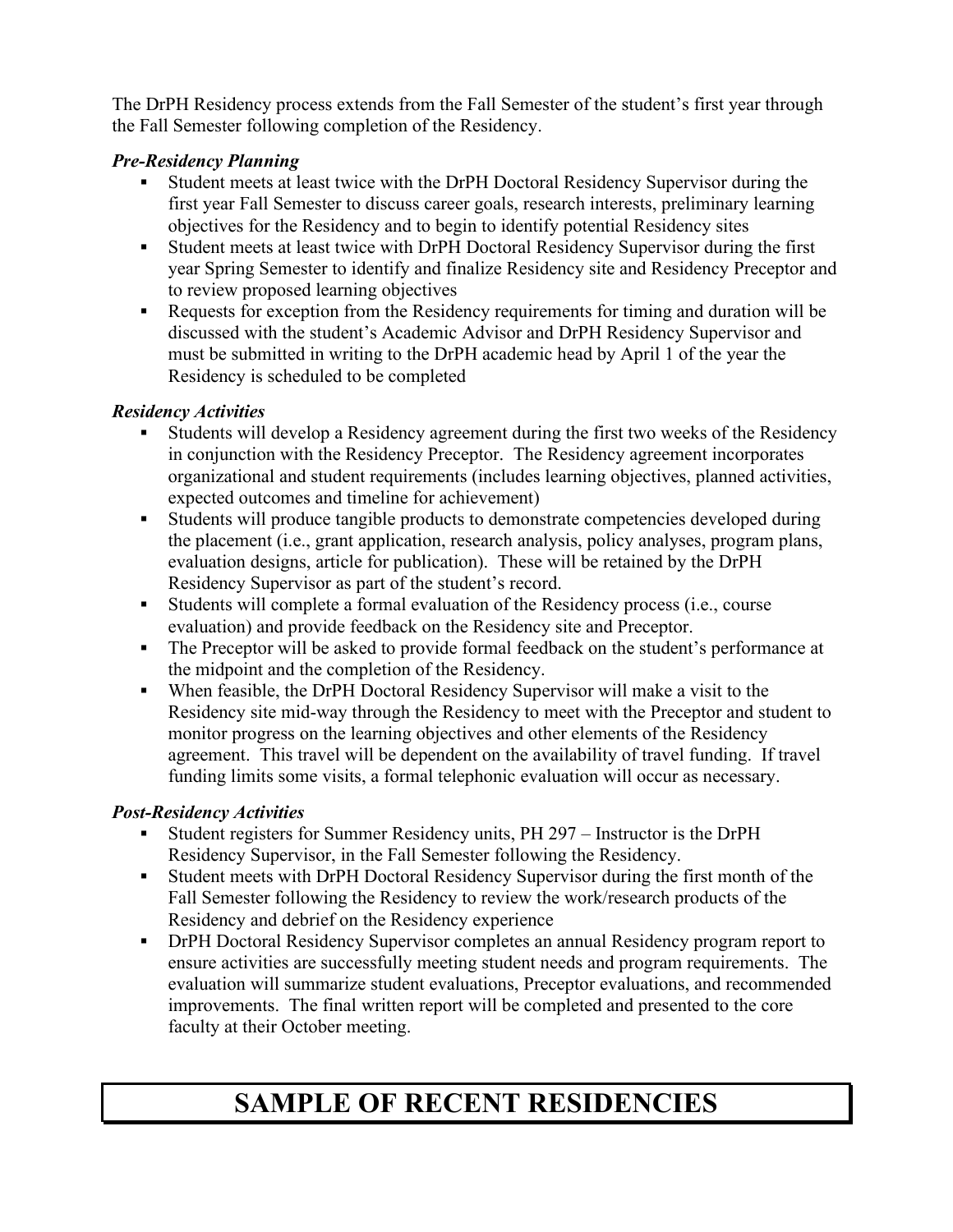The DrPH Residency process extends from the Fall Semester of the student's first year through the Fall Semester following completion of the Residency.

#### *Pre-Residency Planning*

- Student meets at least twice with the DrPH Doctoral Residency Supervisor during the first year Fall Semester to discuss career goals, research interests, preliminary learning objectives for the Residency and to begin to identify potential Residency sites
- Student meets at least twice with DrPH Doctoral Residency Supervisor during the first year Spring Semester to identify and finalize Residency site and Residency Preceptor and to review proposed learning objectives
- Requests for exception from the Residency requirements for timing and duration will be discussed with the student's Academic Advisor and DrPH Residency Supervisor and must be submitted in writing to the DrPH academic head by April 1 of the year the Residency is scheduled to be completed

#### *Residency Activities*

- Students will develop a Residency agreement during the first two weeks of the Residency in conjunction with the Residency Preceptor. The Residency agreement incorporates organizational and student requirements (includes learning objectives, planned activities, expected outcomes and timeline for achievement)
- Students will produce tangible products to demonstrate competencies developed during the placement (i.e., grant application, research analysis, policy analyses, program plans, evaluation designs, article for publication). These will be retained by the DrPH Residency Supervisor as part of the student's record.
- Students will complete a formal evaluation of the Residency process (i.e., course evaluation) and provide feedback on the Residency site and Preceptor.
- The Preceptor will be asked to provide formal feedback on the student's performance at the midpoint and the completion of the Residency.
- When feasible, the DrPH Doctoral Residency Supervisor will make a visit to the Residency site mid-way through the Residency to meet with the Preceptor and student to monitor progress on the learning objectives and other elements of the Residency agreement. This travel will be dependent on the availability of travel funding. If travel funding limits some visits, a formal telephonic evaluation will occur as necessary.

#### *Post-Residency Activities*

- Student registers for Summer Residency units, PH 297 Instructor is the DrPH Residency Supervisor, in the Fall Semester following the Residency.
- Student meets with DrPH Doctoral Residency Supervisor during the first month of the Fall Semester following the Residency to review the work/research products of the Residency and debrief on the Residency experience
- DrPH Doctoral Residency Supervisor completes an annual Residency program report to ensure activities are successfully meeting student needs and program requirements. The evaluation will summarize student evaluations, Preceptor evaluations, and recommended improvements. The final written report will be completed and presented to the core faculty at their October meeting.

### **SAMPLE OF RECENT RESIDENCIES**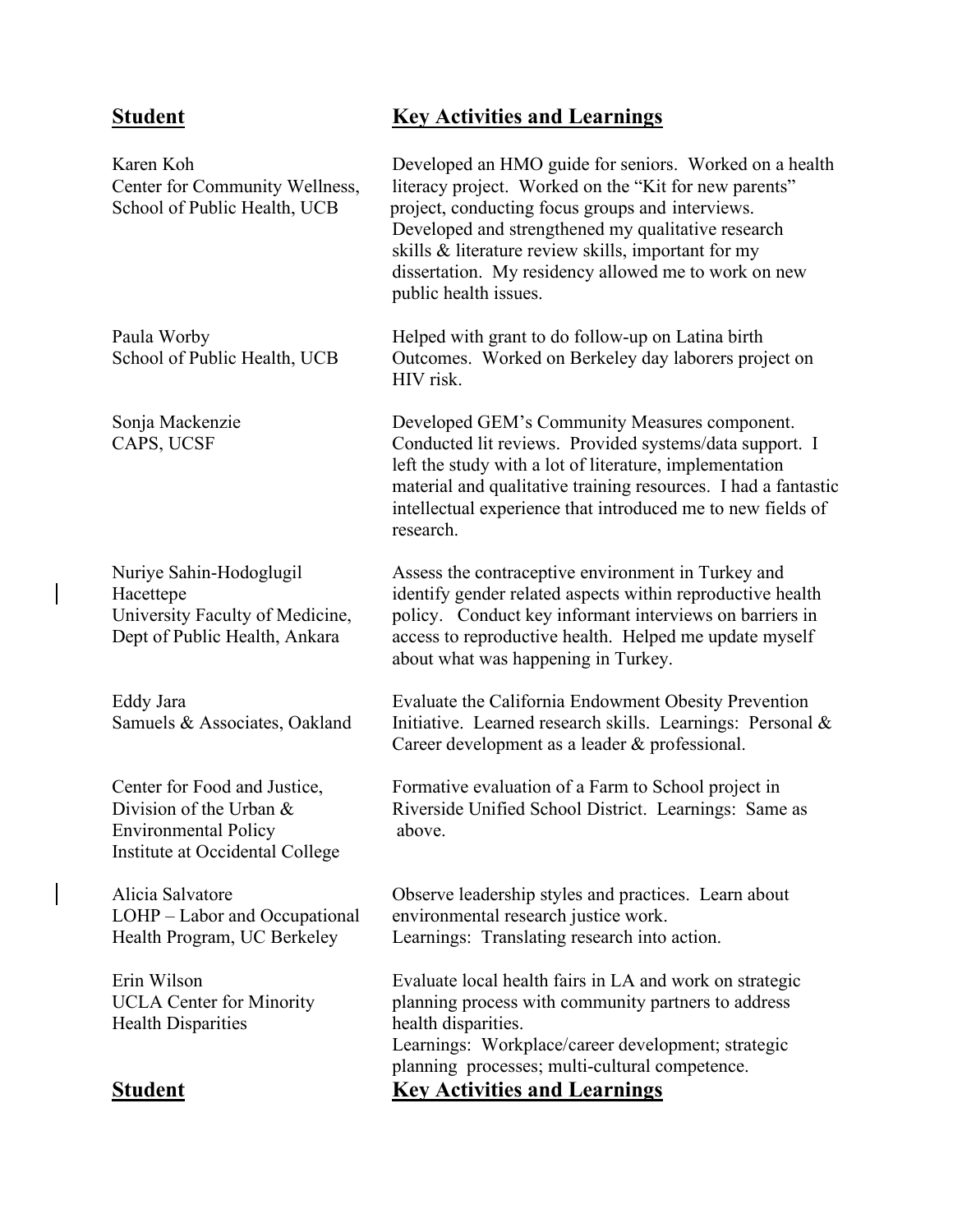#### **Student Key Activities and Learnings**

### Karen Koh Developed an HMO guide for seniors. Worked on a health Center for Community Wellness, literacy project. Worked on the "Kit for new parents" School of Public Health, UCB project, conducting focus groups and interviews. Developed and strengthened my qualitative research skills & literature review skills, important for my dissertation. My residency allowed me to work on new public health issues. Paula Worby **Helped with grant to do follow-up on Latina birth** School of Public Health, UCB Outcomes. Worked on Berkeley day laborers project on HIV risk. Sonja Mackenzie Developed GEM's Community Measures component. CAPS, UCSF Conducted lit reviews. Provided systems/data support. I left the study with a lot of literature, implementation material and qualitative training resources. I had a fantastic intellectual experience that introduced me to new fields of research. Nuriye Sahin-Hodoglugil Assess the contraceptive environment in Turkey and Hacettepe identify gender related aspects within reproductive health University Faculty of Medicine, policy. Conduct key informant interviews on barriers in Dept of Public Health, Ankara access to reproductive health. Helped me update myself about what was happening in Turkey. Eddy Jara Evaluate the California Endowment Obesity Prevention Samuels & Associates, Oakland Initiative. Learned research skills. Learnings: Personal & Career development as a leader & professional. Center for Food and Justice, Formative evaluation of a Farm to School project in Division of the Urban & Riverside Unified School District. Learnings: Same as Environmental Policy above. Institute at Occidental College Alicia Salvatore **Observe leadership styles and practices**. Learn about LOHP – Labor and Occupational environmental research justice work. Health Program, UC Berkeley Learnings: Translating research into action. Erin Wilson Evaluate local health fairs in LA and work on strategic UCLA Center for Minority planning process with community partners to address Health Disparities health disparities. Learnings: Workplace/career development; strategic planning processes; multi-cultural competence. **Student Key Activities and Learnings**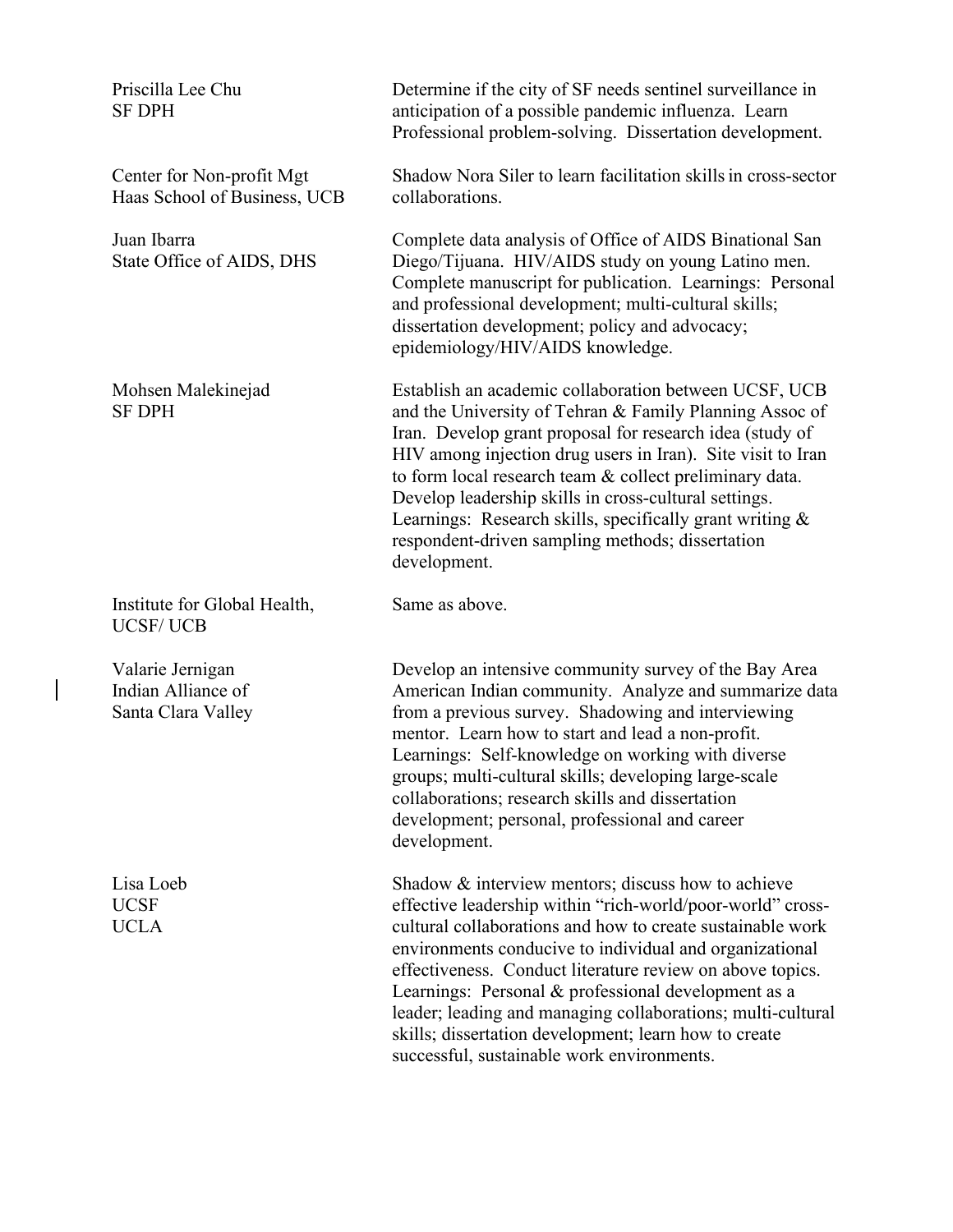| Priscilla Lee Chu<br><b>SF DPH</b>                           | Determine if the city of SF needs sentinel surveillance in<br>anticipation of a possible pandemic influenza. Learn<br>Professional problem-solving. Dissertation development.                                                                                                                                                                                                                                                                                                                   |
|--------------------------------------------------------------|-------------------------------------------------------------------------------------------------------------------------------------------------------------------------------------------------------------------------------------------------------------------------------------------------------------------------------------------------------------------------------------------------------------------------------------------------------------------------------------------------|
| Center for Non-profit Mgt<br>Haas School of Business, UCB    | Shadow Nora Siler to learn facilitation skills in cross-sector<br>collaborations.                                                                                                                                                                                                                                                                                                                                                                                                               |
| Juan Ibarra<br>State Office of AIDS, DHS                     | Complete data analysis of Office of AIDS Binational San<br>Diego/Tijuana. HIV/AIDS study on young Latino men.<br>Complete manuscript for publication. Learnings: Personal<br>and professional development; multi-cultural skills;<br>dissertation development; policy and advocacy;<br>epidemiology/HIV/AIDS knowledge.                                                                                                                                                                         |
| Mohsen Malekinejad<br><b>SF DPH</b>                          | Establish an academic collaboration between UCSF, UCB<br>and the University of Tehran & Family Planning Assoc of<br>Iran. Develop grant proposal for research idea (study of<br>HIV among injection drug users in Iran). Site visit to Iran<br>to form local research team & collect preliminary data.<br>Develop leadership skills in cross-cultural settings.<br>Learnings: Research skills, specifically grant writing &<br>respondent-driven sampling methods; dissertation<br>development. |
| Institute for Global Health,<br><b>UCSF/UCB</b>              | Same as above.                                                                                                                                                                                                                                                                                                                                                                                                                                                                                  |
| Valarie Jernigan<br>Indian Alliance of<br>Santa Clara Valley | Develop an intensive community survey of the Bay Area<br>American Indian community. Analyze and summarize data<br>from a previous survey. Shadowing and interviewing<br>mentor. Learn how to start and lead a non-profit.<br>Learnings: Self-knowledge on working with diverse<br>groups; multi-cultural skills; developing large-scale<br>collaborations; research skills and dissertation<br>development; personal, professional and career<br>development.                                   |
|                                                              |                                                                                                                                                                                                                                                                                                                                                                                                                                                                                                 |

 $\begin{array}{c} \rule{0pt}{2ex} \rule{0pt}{2ex} \rule{0pt}{2ex} \rule{0pt}{2ex} \rule{0pt}{2ex} \rule{0pt}{2ex} \rule{0pt}{2ex} \rule{0pt}{2ex} \rule{0pt}{2ex} \rule{0pt}{2ex} \rule{0pt}{2ex} \rule{0pt}{2ex} \rule{0pt}{2ex} \rule{0pt}{2ex} \rule{0pt}{2ex} \rule{0pt}{2ex} \rule{0pt}{2ex} \rule{0pt}{2ex} \rule{0pt}{2ex} \rule{0pt}{2ex} \rule{0pt}{2ex} \rule{0pt}{2ex} \rule{0pt}{2ex} \rule{0pt}{$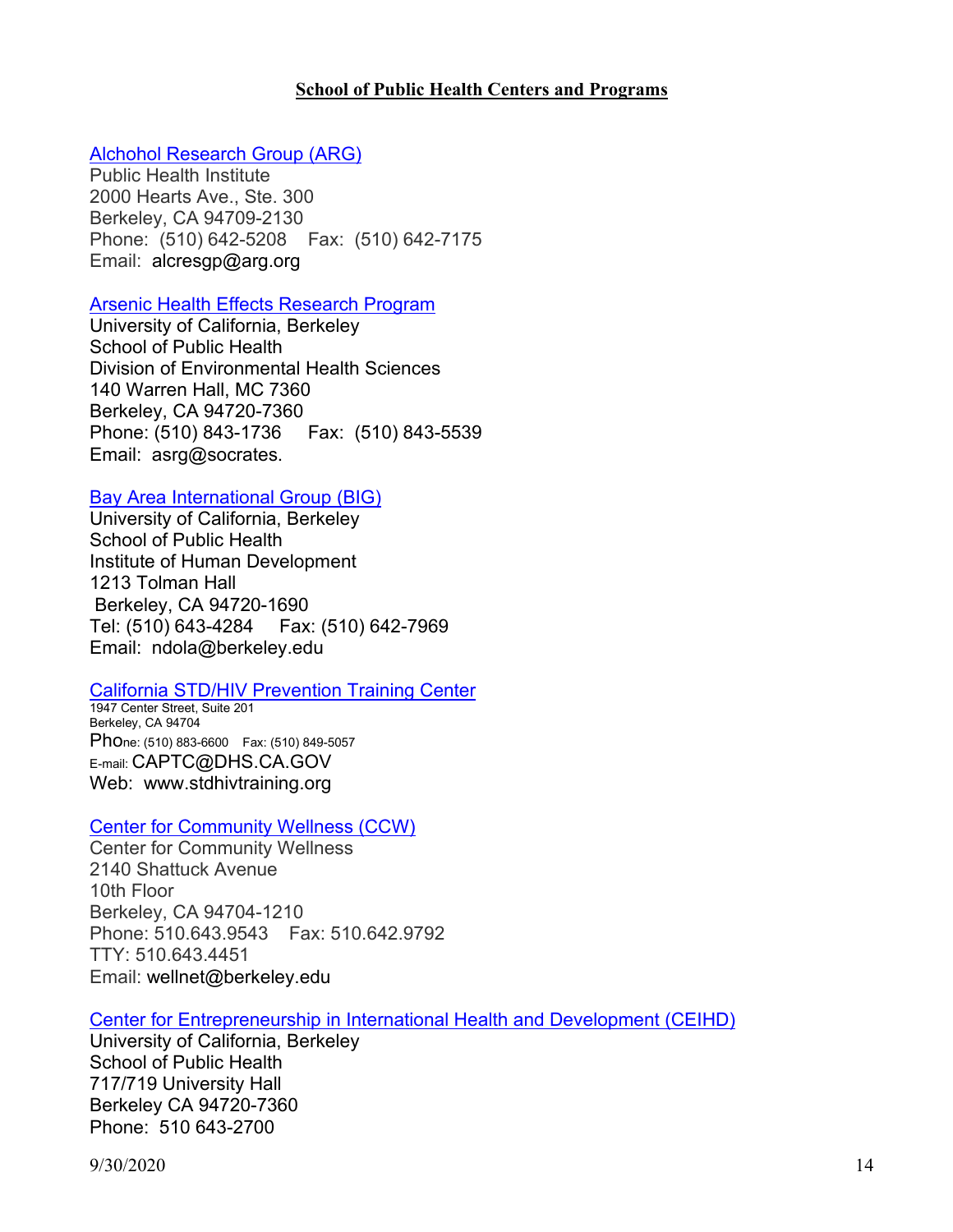#### **School of Public Health Centers and Programs**

#### [Alchohol Research Group \(ARG\)](http://sph.berkeley.edu:7133/research/#0-1)

Public Health Institute 2000 Hearts Ave., Ste. 300 Berkeley, CA 94709-2130 Phone: (510) 642-5208 Fax: (510) 642-7175 Email: [alcresgp@arg.org](mailto:alcresgp@arg.org)

#### [Arsenic Health Effects Research Program](http://sph.berkeley.edu:7133/research/#1)

University of California, Berkeley School of Public Health Division of Environmental Health Sciences 140 Warren Hall, MC 7360 Berkeley, CA 94720-7360 Phone: (510) 843-1736 Fax: (510) 843-5539 Email: [asrg@socrates.](mailto:%22asrg@socrates.berkeley.edu%22)

#### [Bay Area International Group \(BIG\)](http://sph.berkeley.edu:7133/research/#2-0)

University of California, Berkeley School of Public Health Institute of Human Development 1213 Tolman Hall Berkeley, CA 94720-1690 Tel: (510) 643-4284 Fax: (510) 642-7969 Email: [ndola@berkeley.edu](mailto:ndola@uclink.berkeley.edu)

#### [California STD/HIV Prevention Training Center](http://sph.berkeley.edu:7133/research/#3)

1947 Center Street, Suite 201 Berkeley, CA 94704 Phone: (510) 883-6600 Fax: (510) 849-5057 E-mail[: CAPTC@DHS.CA.GOV](mailto:CAPTC@DHS.CA.GOV) Web: [www.stdhivtraining.org](http://www.stdhivtraining.org/)

#### [Center for Community Wellness \(CCW\)](http://sph.berkeley.edu:7133/research/#4)

Center for Community Wellness 2140 Shattuck Avenue 10th Floor Berkeley, CA 94704-1210 Phone: 510.643.9543 Fax: 510.642.9792 TTY: 510.643.4451 Email: [wellnet@berkeley.edu](mailto:wellnet@uclink.berkeley.edu)

#### [Center for Entrepreneurship in International Health and Development \(CEIHD\)](http://sph.berkeley.edu:7133/research/#5)

University of California, Berkeley School of Public Health 717/719 University Hall Berkeley CA 94720-7360 Phone: 510 643-2700

9/30/2020 14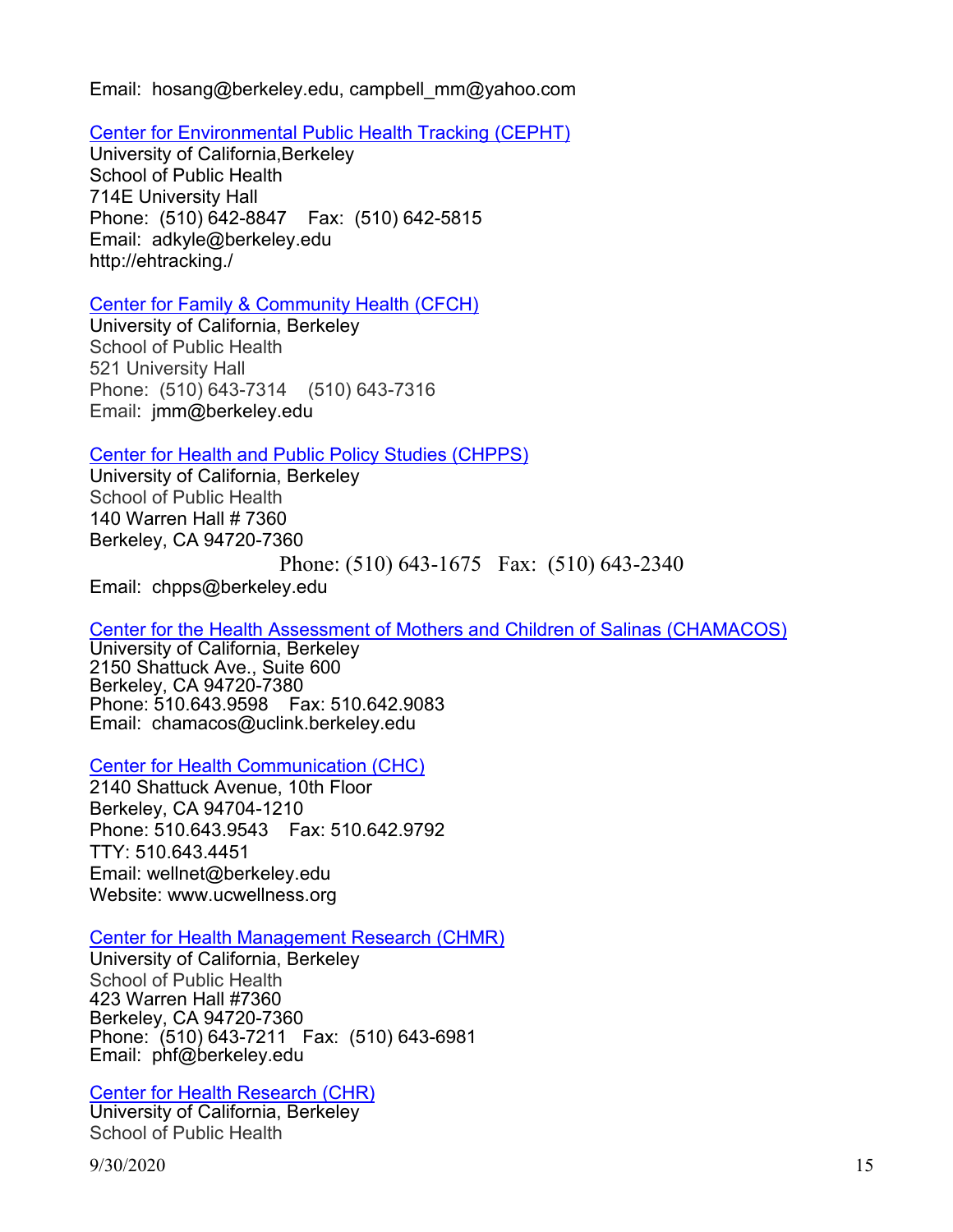Email: [hosang@berkeley.edu,](mailto:hosang@uclink.berkeley.edu) [campbell\\_mm@yahoo.com](mailto:campbell_mm@yahoo.com)

[Center for Environmental Public Health Tracking \(CEPHT\)](http://sph.berkeley.edu:7133/research/#6)

University of California,Berkeley School of Public Health 714E University Hall Phone: (510) 642-8847 Fax: (510) 642-5815 Email: adkyle@berkeley.edu [http://ehtracking./](http://ehtracking.berkeley.edu/index.htm)

#### [Center for Family & Community Health \(CFCH\)](http://sph.berkeley.edu:7133/research/#7)

University of California, Berkeley School of Public Health 521 University Hall Phone: (510) 643-7314 (510) 643-7316 Email: [jmm@berkeley.edu](mailto:jmm@uclink.berkeley.edu)

#### [Center for Health and Public Policy Studies \(CHPPS\)](http://sph.berkeley.edu:7133/research/#8)

University of California, Berkeley School of Public Health 140 Warren Hall # 7360 Berkeley, CA 94720-7360 Phone: (510) 643-1675 Fax: (510) 643-2340 Email: [chpps@berkeley.edu](mailto:chpps@uclink.berkeley.edu)

[Center for the Health Assessment of Mothers and Children of Salinas \(CHAMACOS\)](http://ehs.sph.berkeley.edu/chamacos/)

University of California, Berkeley 2150 Shattuck Ave., Suite 600 Berkeley, CA 94720-7380 Phone: 510.643.9598 Fax: 510.642.9083 Email: [chamacos@uclink.berkeley.edu](mailto:chamacos@uclink.berkeley.edu)

[Center for Health Communication \(CHC\)](http://sph.berkeley.edu:7133/research/#10)

2140 Shattuck Avenue, 10th Floor Berkeley, CA 94704-1210 Phone: 510.643.9543 Fax: 510.642.9792 TTY: 510.643.4451 Email: [wellnet@berkeley.edu](mailto:wellnet@uclink.berkeley.edu) Website: [www.ucwellness.org](http://www.ucwellness.org/)

#### [Center for Health Management Research \(CHMR\)](http://sph.berkeley.edu:7133/research/#11)

University of California, Berkeley School of Public Health 423 Warren Hall #7360 Berkeley, CA 94720-7360 Phone: (510) 643-7211 Fax: (510) 643-6981 Email: [phf@berkeley.edu](mailto:phf@uclink.berkeley.edu)

#### [Center for Health Research \(CHR\)](http://sph.berkeley.edu:7133/research/#12)

University of California, Berkeley School of Public Health

9/30/2020 15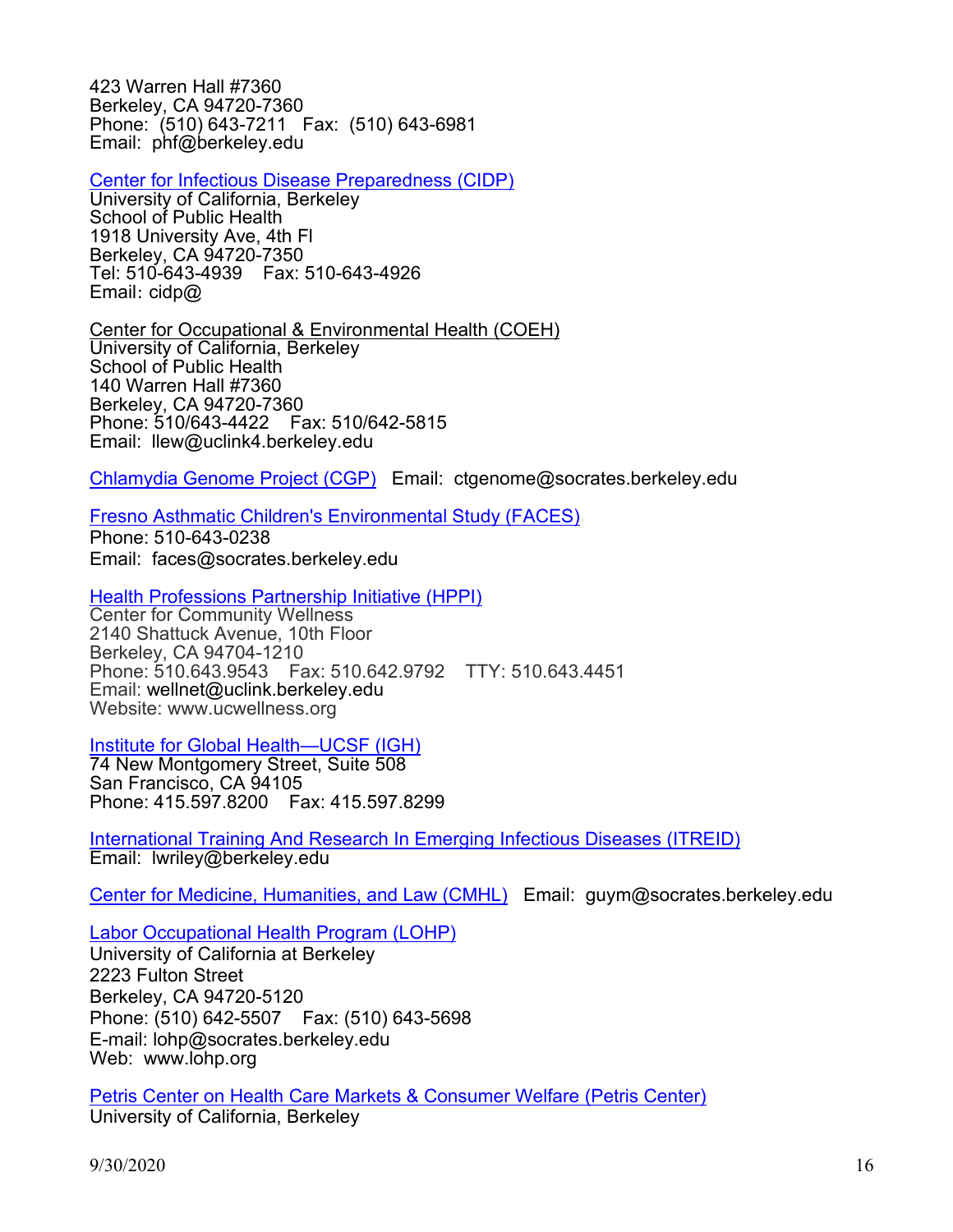423 Warren Hall #7360 Berkeley, CA 94720-7360 Phone: (510) 643-7211 Fax: (510) 643-6981 Email: [phf@berkeley.edu](mailto:phf@uclink.berkeley.edu)

[Center for Infectious Disease Preparedness \(CIDP\)](http://sph.berkeley.edu:7133/research/#13)

University of California, Berkeley School of Public Health 1918 University Ave, 4th Fl Berkeley, CA 94720-7350 Tel: 510-643-4939 Fax: 510-643-4926 Email: [cidp@](mailto:cidp@berkeley.edu)

[Center for Occupational & Environmental Health \(COEH\)](http://sph.berkeley.edu:7133/research/#14) University of California, Berkeley School of Public Health 140 Warren Hall #7360 Berkeley, CA 94720-7360 Phone: 510/643-4422 Fax: 510/642-5815 Email: [llew@uclink4.berkeley.edu](mailto:llew@uclink4.berkeley.edu)

[Chlamydia Genome Project \(CGP\)](http://sph.berkeley.edu:7133/research/#15) Email: [ctgenome@socrates.berkeley.edu](mailto:ctgenome@socrates.berkeley.edu)

[Fresno Asthmatic Children's Environmental Study \(FACES\)](http://sph.berkeley.edu:7133/research/#15-1) Phone: 510-643-0238 [Email: faces@socrates.berkeley.edu](mailto:faces@socrates.berkeley.edu)

[Health Professions Partnership Initiative \(HPPI\)](http://sph.berkeley.edu:7133/research/#16) Center for Community Wellness 2140 Shattuck Avenue, 10th Floor Berkeley, CA 94704-1210 Phone: 510.643.9543 Fax: 510.642.9792 TTY: 510.643.4451 Email: [wellnet@uclink.berkeley.edu](mailto:wellnet@uclink.berkeley.edu) Website: www.ucwellness.org

[Institute for Global Health—UCSF \(IGH\)](http://sph.berkeley.edu:7133/research/#16-2)

74 New Montgomery Street, Suite 508 San Francisco, CA 94105 Phone: 415.597.8200 Fax: 415.597.8299

[International Training And Research In Emerging Infectious Diseases \(ITREID\)](http://sph.berkeley.edu:7133/research/#17) Email: [lwriley@berkeley.edu](mailto:lwriley@berkeley.edu)

[Center for Medicine, Humanities, and Law \(CMHL\)](http://sph.berkeley.edu:7133/research/#18) Email: [guym@socrates.berkeley.edu](mailto:guym@socrates.berkeley.edu)

[Labor Occupational Health Program \(LOHP\)](http://sph.berkeley.edu:7133/research/#19)

University of California at Berkeley 2223 Fulton Street Berkeley, CA 94720-5120 Phone: (510) 642-5507 Fax: (510) 643-5698 E-mail: [lohp@socrates.berkeley.edu](mailto:lohp@socrates.berkeley.edu) Web: www.lohp.org

[Petris Center on Health Care Markets & Consumer Welfare \(Petris Center\)](http://sph.berkeley.edu:7133/research/#20) University of California, Berkeley

 $9/30/2020$  16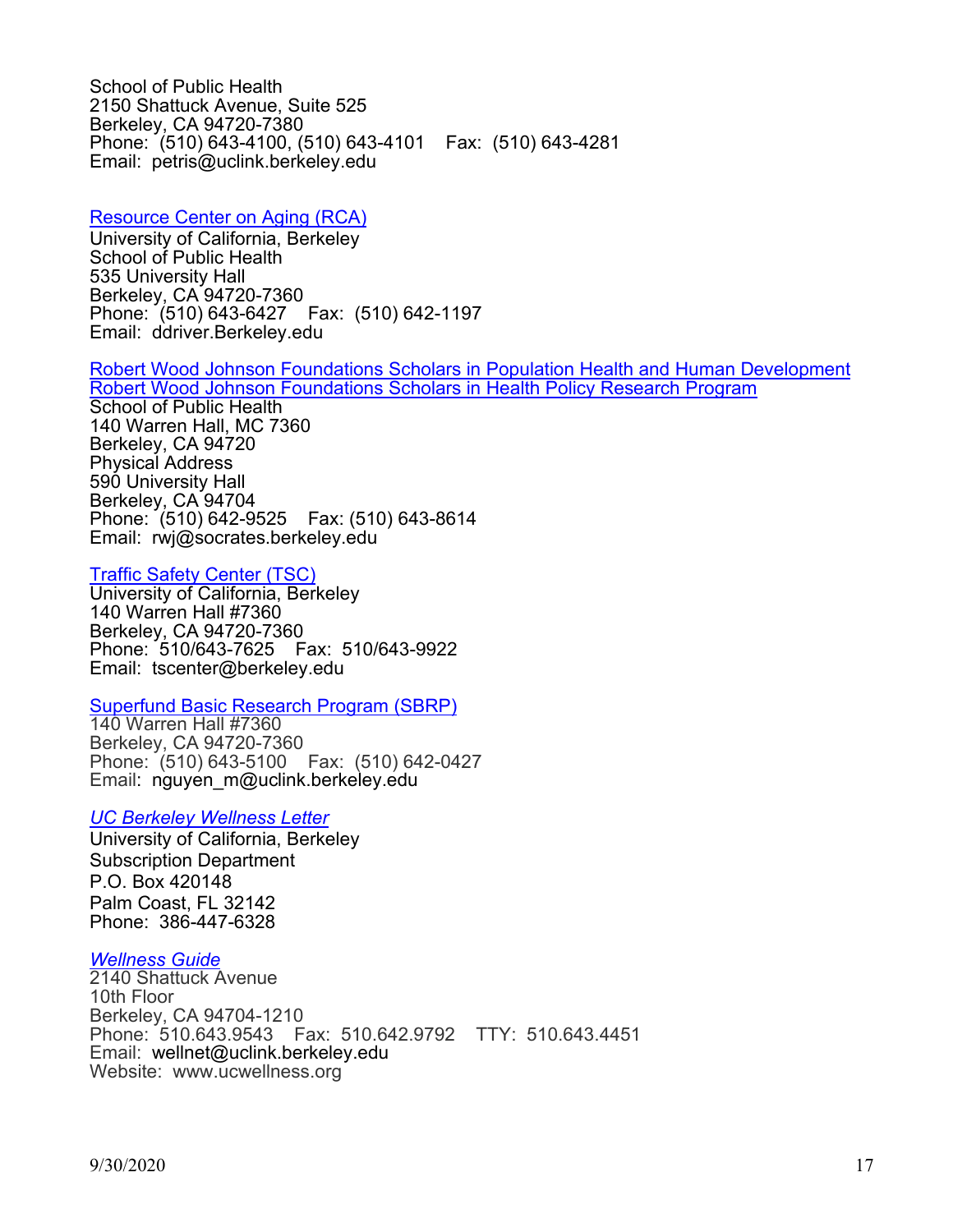School of Public Health 2150 Shattuck Avenue, Suite 525 Berkeley, CA 94720-7380 Phone: (510) 643-4100, (510) 643-4101 Fax: (510) 643-4281 Email: [petris@uclink.berkeley.edu](mailto:petris@uclink.berkeley.edu)

[Resource Center on Aging \(RCA\)](http://sph.berkeley.edu:7133/research/#21)

University of California, Berkeley School of Public Health 535 University Hall Berkeley, CA 94720-7360 Phone: (510) 643-6427 Fax: (510) 642-1197 Email: ddriver.Berkeley.edu

[Robert Wood Johnson Foundations Scholars in Population Health and Human Development](http://sph.berkeley.edu:7133/research/#22) Robert Wood Johnson [Foundations Scholars in Health Policy Research Program](http://sph.berkeley.edu:7133/research/#23)

School of Public Health 140 Warren Hall, MC 7360 Berkeley, CA 94720 Physical Address 590 University Hall Berkeley, CA 94704 Phone: (510) 642-9525 Fax: (510) 643-8614 Email: [rwj@socrates.berkeley.edu](mailto:rwj@socrates.berkeley.edu)

#### [Traffic Safety Center \(TSC\)](http://sph.berkeley.edu:7133/research/#24)

University of California, Berkeley 140 Warren Hall #7360 Berkeley, CA 94720-7360 Phone: 510/643-7625 Fax: 510/643-9922 Email: [tscenter@berkeley.edu](mailto:tscenter@berkeley.edu)

#### [Superfund Basic Research Program \(SBRP\)](http://sph.berkeley.edu:7133/research/#25)

140 Warren Hall #7360 Berkeley, CA 94720-7360 Phone: (510) 643-5100 Fax: (510) 642-0427 Email: nguyen m@uclink.berkeley.edu

#### *[UC Berkeley Wellness Letter](http://sph.berkeley.edu:7133/research/#26)*

University of California, Berkeley Subscription Department P.O. Box 420148 Palm Coast, FL 32142 Phone: 386-447-6328

#### *[Wellness Guide](http://sph.berkeley.edu:7133/research/#27)*

2140 Shattuck Avenue 10th Floor Berkeley, CA 94704-1210 Phone: 510.643.9543 Fax: 510.642.9792 TTY: 510.643.4451 Email: [wellnet@uclink.berkeley.edu](mailto:wellnet@uclink.berkeley.edu) Website:www.ucwellness.org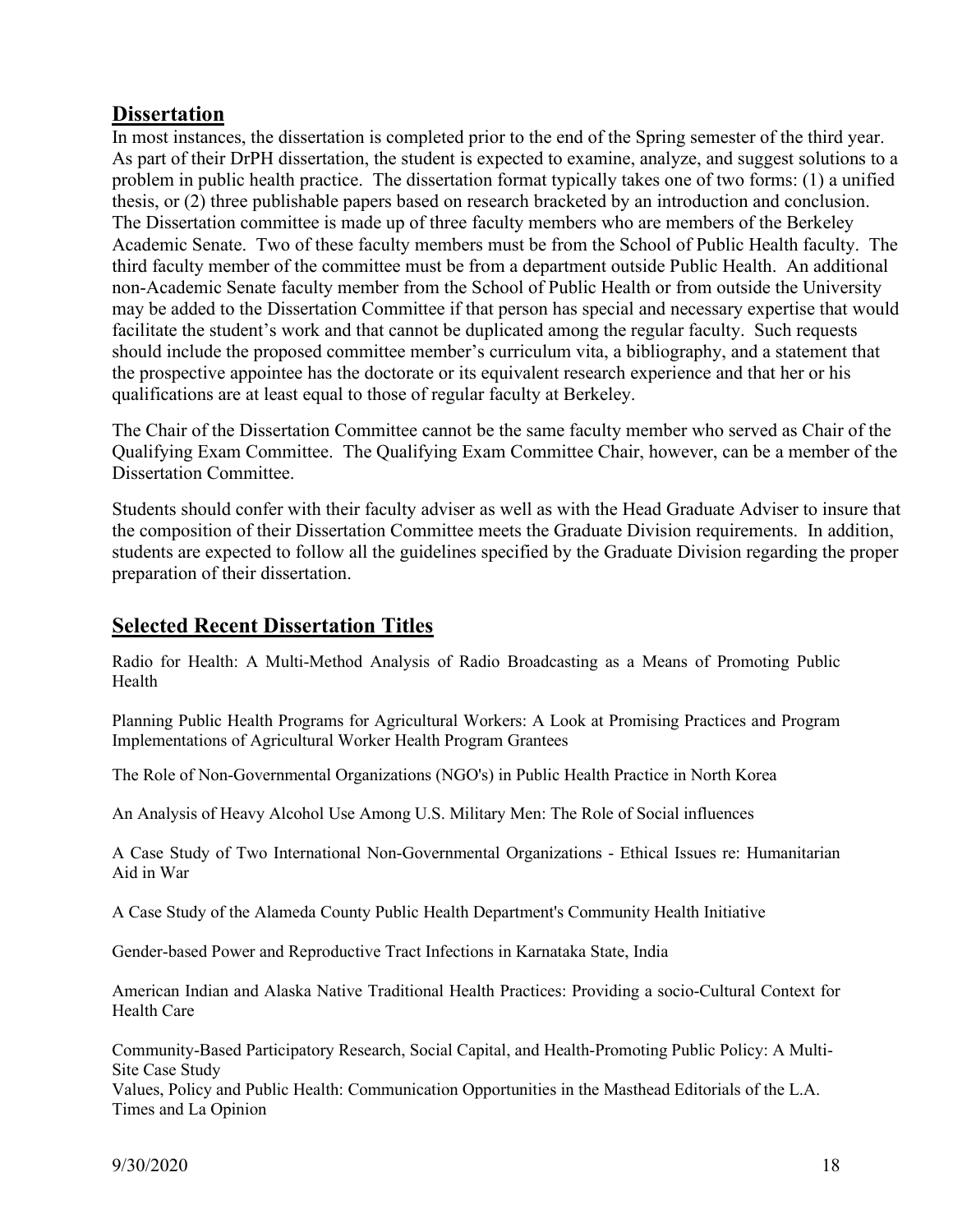#### **Dissertation**

In most instances, the dissertation is completed prior to the end of the Spring semester of the third year. As part of their DrPH dissertation, the student is expected to examine, analyze, and suggest solutions to a problem in public health practice. The dissertation format typically takes one of two forms: (1) a unified thesis, or (2) three publishable papers based on research bracketed by an introduction and conclusion. The Dissertation committee is made up of three faculty members who are members of the Berkeley Academic Senate. Two of these faculty members must be from the School of Public Health faculty. The third faculty member of the committee must be from a department outside Public Health. An additional non-Academic Senate faculty member from the School of Public Health or from outside the University may be added to the Dissertation Committee if that person has special and necessary expertise that would facilitate the student's work and that cannot be duplicated among the regular faculty. Such requests should include the proposed committee member's curriculum vita, a bibliography, and a statement that the prospective appointee has the doctorate or its equivalent research experience and that her or his qualifications are at least equal to those of regular faculty at Berkeley.

The Chair of the Dissertation Committee cannot be the same faculty member who served as Chair of the Qualifying Exam Committee. The Qualifying Exam Committee Chair, however, can be a member of the Dissertation Committee.

Students should confer with their faculty adviser as well as with the Head Graduate Adviser to insure that the composition of their Dissertation Committee meets the Graduate Division requirements. In addition, students are expected to follow all the guidelines specified by the Graduate Division regarding the proper preparation of their dissertation.

#### **Selected Recent Dissertation Titles**

Radio for Health: A Multi-Method Analysis of Radio Broadcasting as a Means of Promoting Public Health

Planning Public Health Programs for Agricultural Workers: A Look at Promising Practices and Program Implementations of Agricultural Worker Health Program Grantees

The Role of Non-Governmental Organizations (NGO's) in Public Health Practice in North Korea

An Analysis of Heavy Alcohol Use Among U.S. Military Men: The Role of Social influences

A Case Study of Two International Non-Governmental Organizations - Ethical Issues re: Humanitarian Aid in War

A Case Study of the Alameda County Public Health Department's Community Health Initiative

Gender-based Power and Reproductive Tract Infections in Karnataka State, India

American Indian and Alaska Native Traditional Health Practices: Providing a socio-Cultural Context for Health Care

Community-Based Participatory Research, Social Capital, and Health-Promoting Public Policy: A Multi-Site Case Study

Values, Policy and Public Health: Communication Opportunities in the Masthead Editorials of the L.A. Times and La Opinion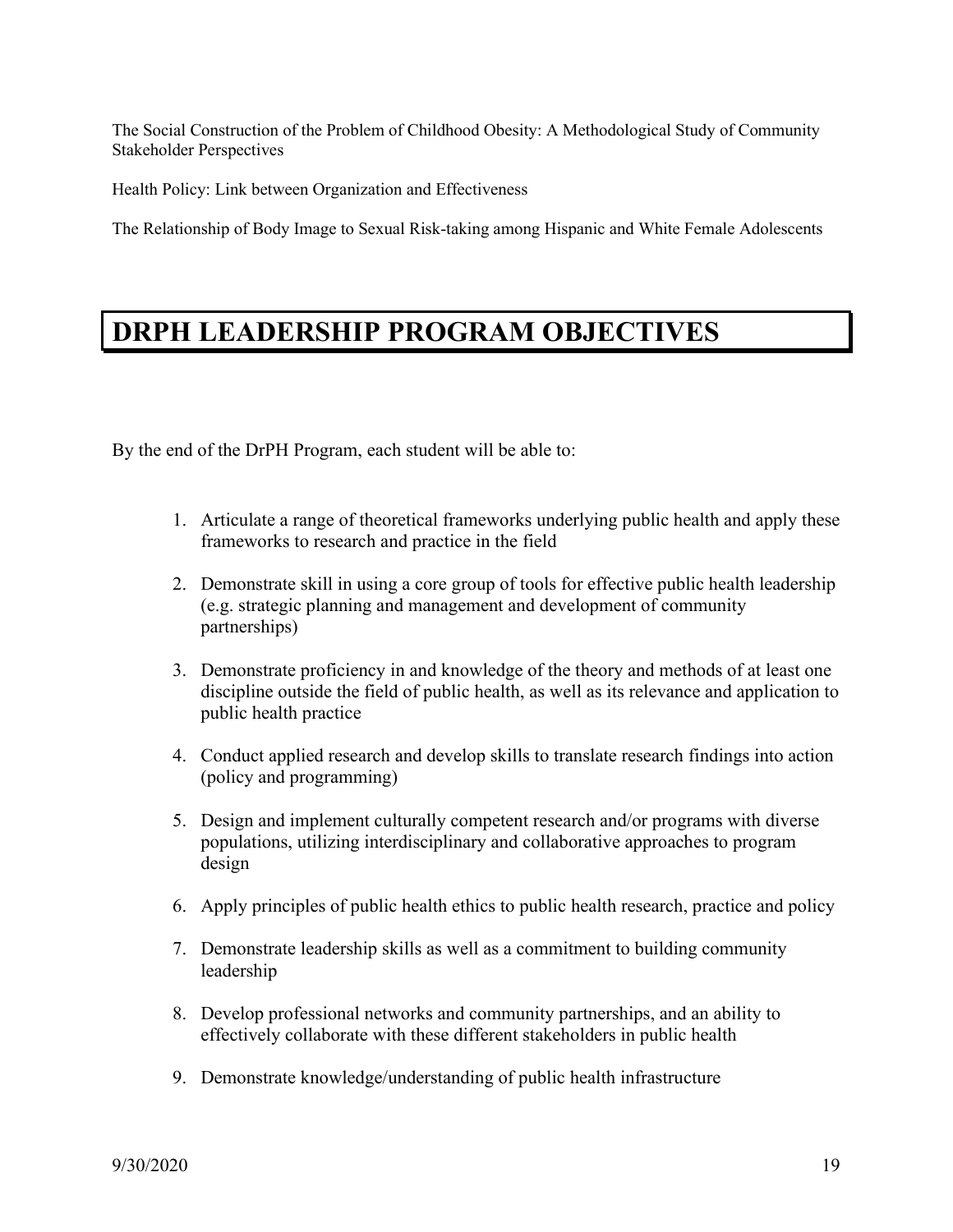The Social Construction of the Problem of Childhood Obesity: A Methodological Study of Community Stakeholder Perspectives

Health Policy: Link between Organization and Effectiveness

The Relationship of Body Image to Sexual Risk-taking among Hispanic and White Female Adolescents

### **DRPH LEADERSHIP PROGRAM OBJECTIVES**

By the end of the DrPH Program, each student will be able to:

- 1. Articulate a range of theoretical frameworks underlying public health and apply these frameworks to research and practice in the field
- 2. Demonstrate skill in using a core group of tools for effective public health leadership (e.g. strategic planning and management and development of community partnerships)
- 3. Demonstrate proficiency in and knowledge of the theory and methods of at least one discipline outside the field of public health, as well as its relevance and application to public health practice
- 4. Conduct applied research and develop skills to translate research findings into action (policy and programming)
- 5. Design and implement culturally competent research and/or programs with diverse populations, utilizing interdisciplinary and collaborative approaches to program design
- 6. Apply principles of public health ethics to public health research, practice and policy
- 7. Demonstrate leadership skills as well as a commitment to building community leadership
- 8. Develop professional networks and community partnerships, and an ability to effectively collaborate with these different stakeholders in public health
- 9. Demonstrate knowledge/understanding of public health infrastructure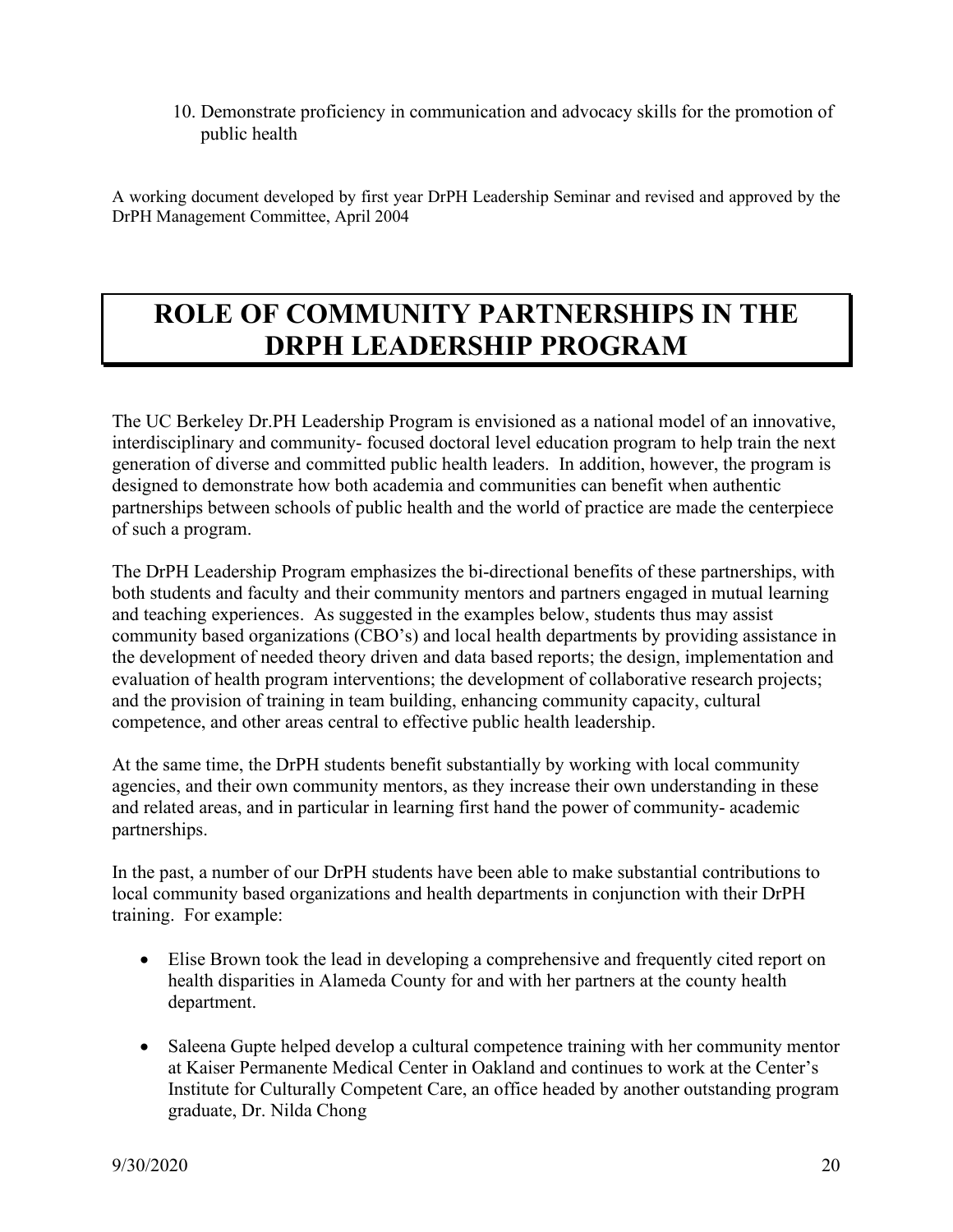10. Demonstrate proficiency in communication and advocacy skills for the promotion of public health

A working document developed by first year DrPH Leadership Seminar and revised and approved by the DrPH Management Committee, April 2004

### **ROLE OF COMMUNITY PARTNERSHIPS IN THE DRPH LEADERSHIP PROGRAM**

The UC Berkeley Dr.PH Leadership Program is envisioned as a national model of an innovative, interdisciplinary and community- focused doctoral level education program to help train the next generation of diverse and committed public health leaders. In addition, however, the program is designed to demonstrate how both academia and communities can benefit when authentic partnerships between schools of public health and the world of practice are made the centerpiece of such a program.

The DrPH Leadership Program emphasizes the bi-directional benefits of these partnerships, with both students and faculty and their community mentors and partners engaged in mutual learning and teaching experiences. As suggested in the examples below, students thus may assist community based organizations (CBO's) and local health departments by providing assistance in the development of needed theory driven and data based reports; the design, implementation and evaluation of health program interventions; the development of collaborative research projects; and the provision of training in team building, enhancing community capacity, cultural competence, and other areas central to effective public health leadership.

At the same time, the DrPH students benefit substantially by working with local community agencies, and their own community mentors, as they increase their own understanding in these and related areas, and in particular in learning first hand the power of community- academic partnerships.

In the past, a number of our DrPH students have been able to make substantial contributions to local community based organizations and health departments in conjunction with their DrPH training. For example:

- Elise Brown took the lead in developing a comprehensive and frequently cited report on health disparities in Alameda County for and with her partners at the county health department.
- Saleena Gupte helped develop a cultural competence training with her community mentor at Kaiser Permanente Medical Center in Oakland and continues to work at the Center's Institute for Culturally Competent Care, an office headed by another outstanding program graduate, Dr. Nilda Chong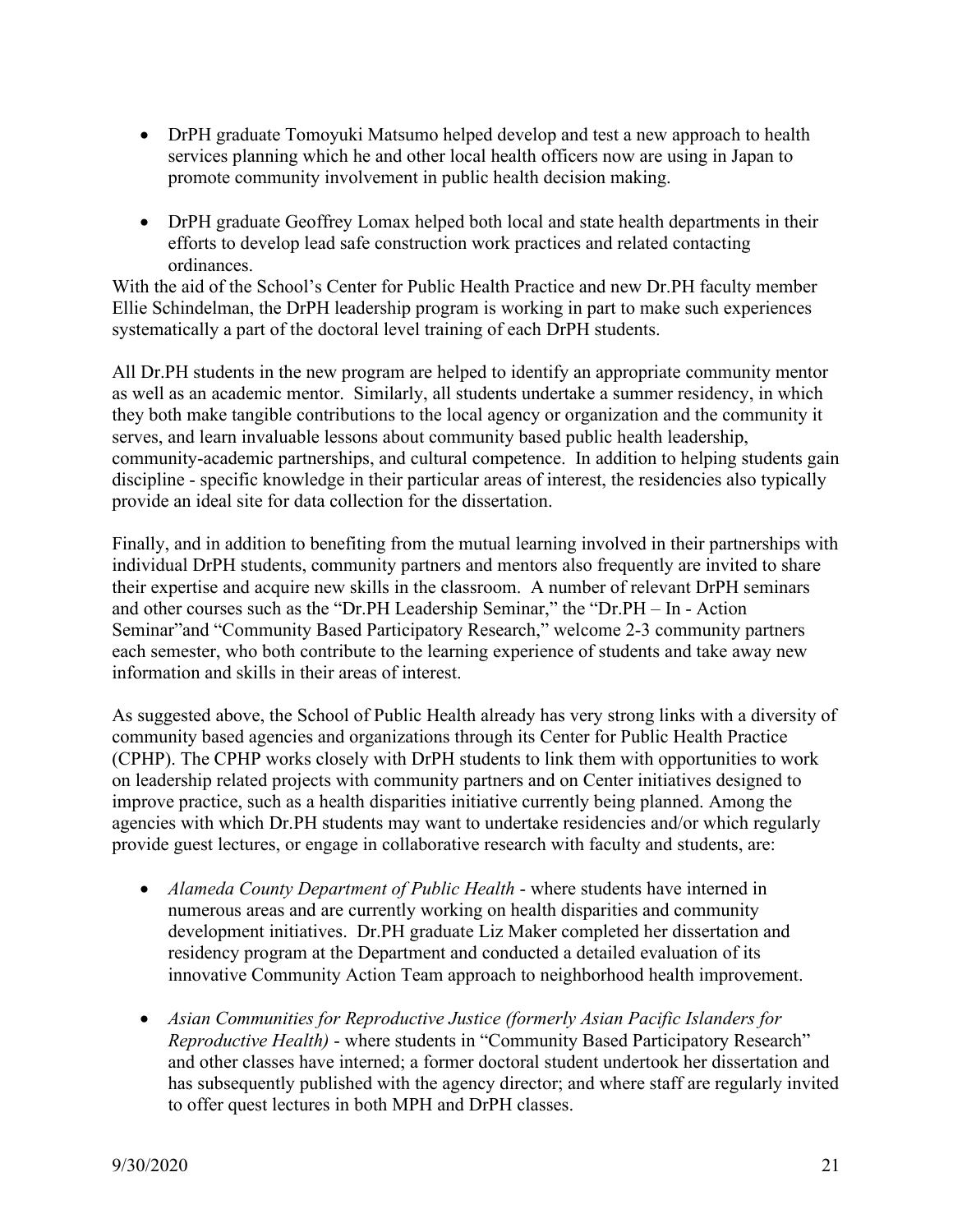- DrPH graduate Tomoyuki Matsumo helped develop and test a new approach to health services planning which he and other local health officers now are using in Japan to promote community involvement in public health decision making.
- DrPH graduate Geoffrey Lomax helped both local and state health departments in their efforts to develop lead safe construction work practices and related contacting ordinances.

With the aid of the School's Center for Public Health Practice and new Dr.PH faculty member Ellie Schindelman, the DrPH leadership program is working in part to make such experiences systematically a part of the doctoral level training of each DrPH students.

All Dr.PH students in the new program are helped to identify an appropriate community mentor as well as an academic mentor. Similarly, all students undertake a summer residency, in which they both make tangible contributions to the local agency or organization and the community it serves, and learn invaluable lessons about community based public health leadership, community-academic partnerships, and cultural competence. In addition to helping students gain discipline - specific knowledge in their particular areas of interest, the residencies also typically provide an ideal site for data collection for the dissertation.

Finally, and in addition to benefiting from the mutual learning involved in their partnerships with individual DrPH students, community partners and mentors also frequently are invited to share their expertise and acquire new skills in the classroom. A number of relevant DrPH seminars and other courses such as the "Dr.PH Leadership Seminar," the "Dr.PH – In - Action Seminar"and "Community Based Participatory Research," welcome 2-3 community partners each semester, who both contribute to the learning experience of students and take away new information and skills in their areas of interest.

As suggested above, the School of Public Health already has very strong links with a diversity of community based agencies and organizations through its Center for Public Health Practice (CPHP). The CPHP works closely with DrPH students to link them with opportunities to work on leadership related projects with community partners and on Center initiatives designed to improve practice, such as a health disparities initiative currently being planned. Among the agencies with which Dr.PH students may want to undertake residencies and/or which regularly provide guest lectures, or engage in collaborative research with faculty and students, are:

- *Alameda County Department of Public Health* where students have interned in numerous areas and are currently working on health disparities and community development initiatives. Dr.PH graduate Liz Maker completed her dissertation and residency program at the Department and conducted a detailed evaluation of its innovative Community Action Team approach to neighborhood health improvement.
- *Asian Communities for Reproductive Justice (formerly Asian Pacific Islanders for Reproductive Health)* - where students in "Community Based Participatory Research" and other classes have interned; a former doctoral student undertook her dissertation and has subsequently published with the agency director; and where staff are regularly invited to offer quest lectures in both MPH and DrPH classes.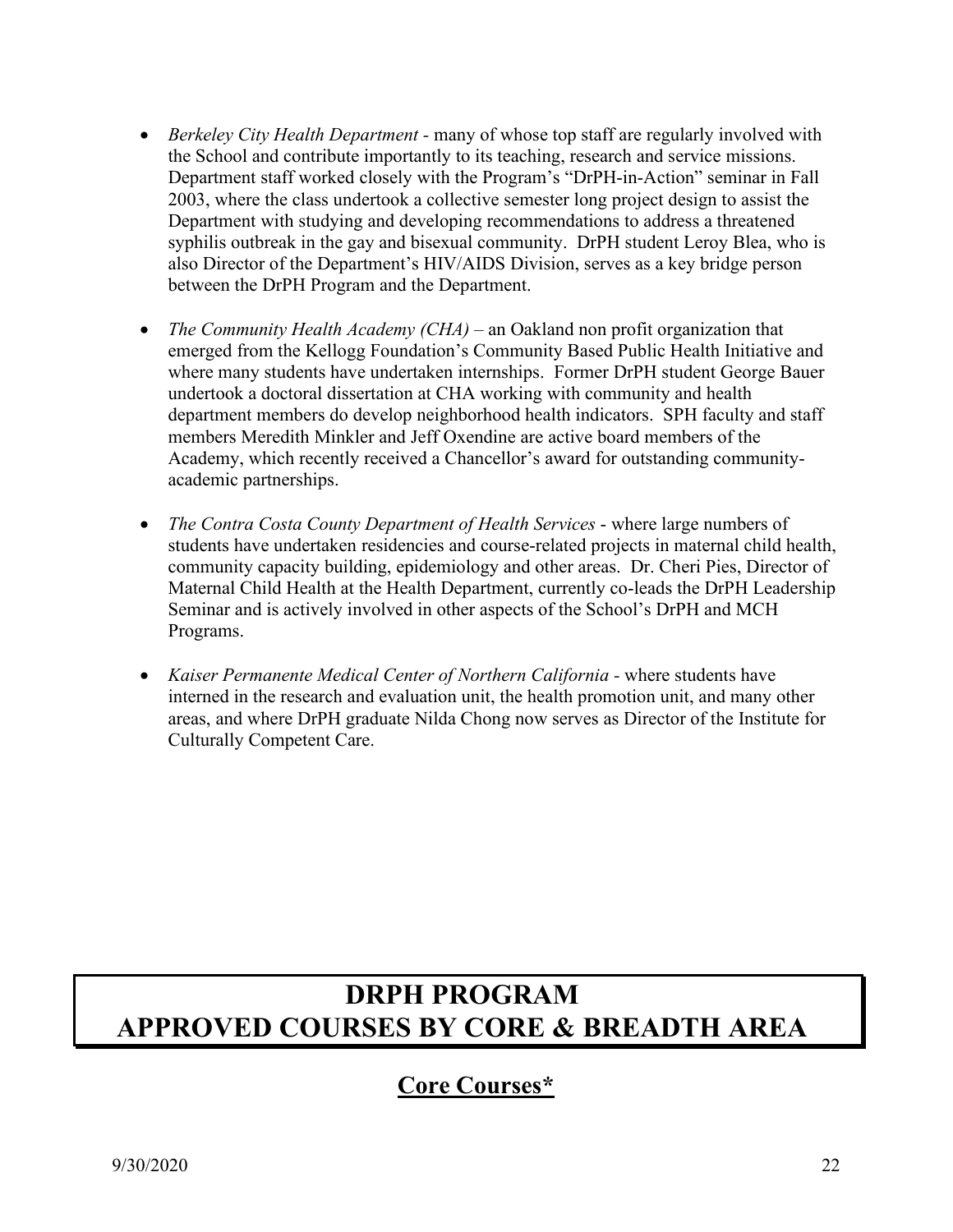- *Berkeley City Health Department -* many of whose top staff are regularly involved with the School and contribute importantly to its teaching, research and service missions. Department staff worked closely with the Program's "DrPH-in-Action" seminar in Fall 2003, where the class undertook a collective semester long project design to assist the Department with studying and developing recommendations to address a threatened syphilis outbreak in the gay and bisexual community. DrPH student Leroy Blea, who is also Director of the Department's HIV/AIDS Division, serves as a key bridge person between the DrPH Program and the Department.
- *The Community Health Academy (CHA)* an Oakland non profit organization that emerged from the Kellogg Foundation's Community Based Public Health Initiative and where many students have undertaken internships. Former DrPH student George Bauer undertook a doctoral dissertation at CHA working with community and health department members do develop neighborhood health indicators. SPH faculty and staff members Meredith Minkler and Jeff Oxendine are active board members of the Academy, which recently received a Chancellor's award for outstanding communityacademic partnerships.
- *The Contra Costa County Department of Health Services* where large numbers of students have undertaken residencies and course-related projects in maternal child health, community capacity building, epidemiology and other areas. Dr. Cheri Pies, Director of Maternal Child Health at the Health Department, currently co-leads the DrPH Leadership Seminar and is actively involved in other aspects of the School's DrPH and MCH Programs.
- *Kaiser Permanente Medical Center of Northern California -* where students have interned in the research and evaluation unit, the health promotion unit, and many other areas, and where DrPH graduate Nilda Chong now serves as Director of the Institute for Culturally Competent Care.

### **DRPH PROGRAM APPROVED COURSES BY CORE & BREADTH AREA**

### **Core Courses\***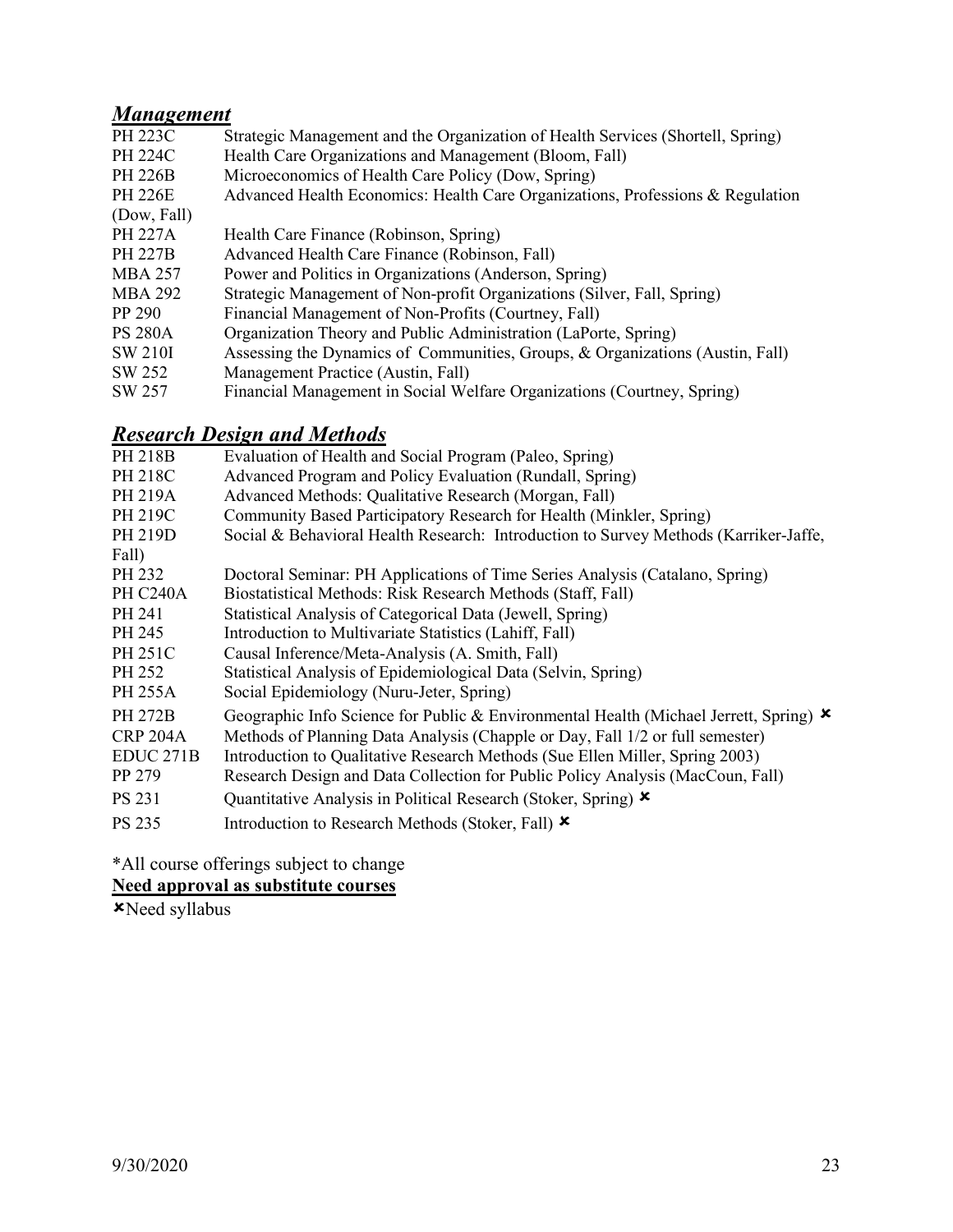#### *Management*

| <b>PH 223C</b> | Strategic Management and the Organization of Health Services (Shortell, Spring) |  |  |
|----------------|---------------------------------------------------------------------------------|--|--|
| <b>PH 224C</b> | Health Care Organizations and Management (Bloom, Fall)                          |  |  |
| <b>PH 226B</b> | Microeconomics of Health Care Policy (Dow, Spring)                              |  |  |
| <b>PH 226E</b> | Advanced Health Economics: Health Care Organizations, Professions & Regulation  |  |  |
| (Dow, Fall)    |                                                                                 |  |  |
| <b>PH 227A</b> | Health Care Finance (Robinson, Spring)                                          |  |  |
| <b>PH 227B</b> | Advanced Health Care Finance (Robinson, Fall)                                   |  |  |
| <b>MBA 257</b> | Power and Politics in Organizations (Anderson, Spring)                          |  |  |
| <b>MBA 292</b> | Strategic Management of Non-profit Organizations (Silver, Fall, Spring)         |  |  |
| PP 290         | Financial Management of Non-Profits (Courtney, Fall)                            |  |  |
| <b>PS 280A</b> | Organization Theory and Public Administration (LaPorte, Spring)                 |  |  |
| <b>SW 2101</b> | Assessing the Dynamics of Communities, Groups, & Organizations (Austin, Fall)   |  |  |
| SW 252         | Management Practice (Austin, Fall)                                              |  |  |
| SW 257         | Financial Management in Social Welfare Organizations (Courtney, Spring)         |  |  |

### *Research Design and Methods*

| Evaluation of Health and Social Program (Paleo, Spring)                                     |
|---------------------------------------------------------------------------------------------|
| Advanced Program and Policy Evaluation (Rundall, Spring)                                    |
| Advanced Methods: Qualitative Research (Morgan, Fall)                                       |
| Community Based Participatory Research for Health (Minkler, Spring)                         |
| Social & Behavioral Health Research: Introduction to Survey Methods (Karriker-Jaffe,        |
|                                                                                             |
| Doctoral Seminar: PH Applications of Time Series Analysis (Catalano, Spring)                |
| Biostatistical Methods: Risk Research Methods (Staff, Fall)                                 |
| Statistical Analysis of Categorical Data (Jewell, Spring)                                   |
| Introduction to Multivariate Statistics (Lahiff, Fall)                                      |
| Causal Inference/Meta-Analysis (A. Smith, Fall)                                             |
| Statistical Analysis of Epidemiological Data (Selvin, Spring)                               |
| Social Epidemiology (Nuru-Jeter, Spring)                                                    |
| Geographic Info Science for Public & Environmental Health (Michael Jerrett, Spring) $\star$ |
| Methods of Planning Data Analysis (Chapple or Day, Fall 1/2 or full semester)               |
| Introduction to Qualitative Research Methods (Sue Ellen Miller, Spring 2003)                |
| Research Design and Data Collection for Public Policy Analysis (MacCoun, Fall)              |
| Quantitative Analysis in Political Research (Stoker, Spring) $\star$                        |
| Introduction to Research Methods (Stoker, Fall) *                                           |
|                                                                                             |

\*All course offerings subject to change **Need approval as substitute courses**

Need syllabus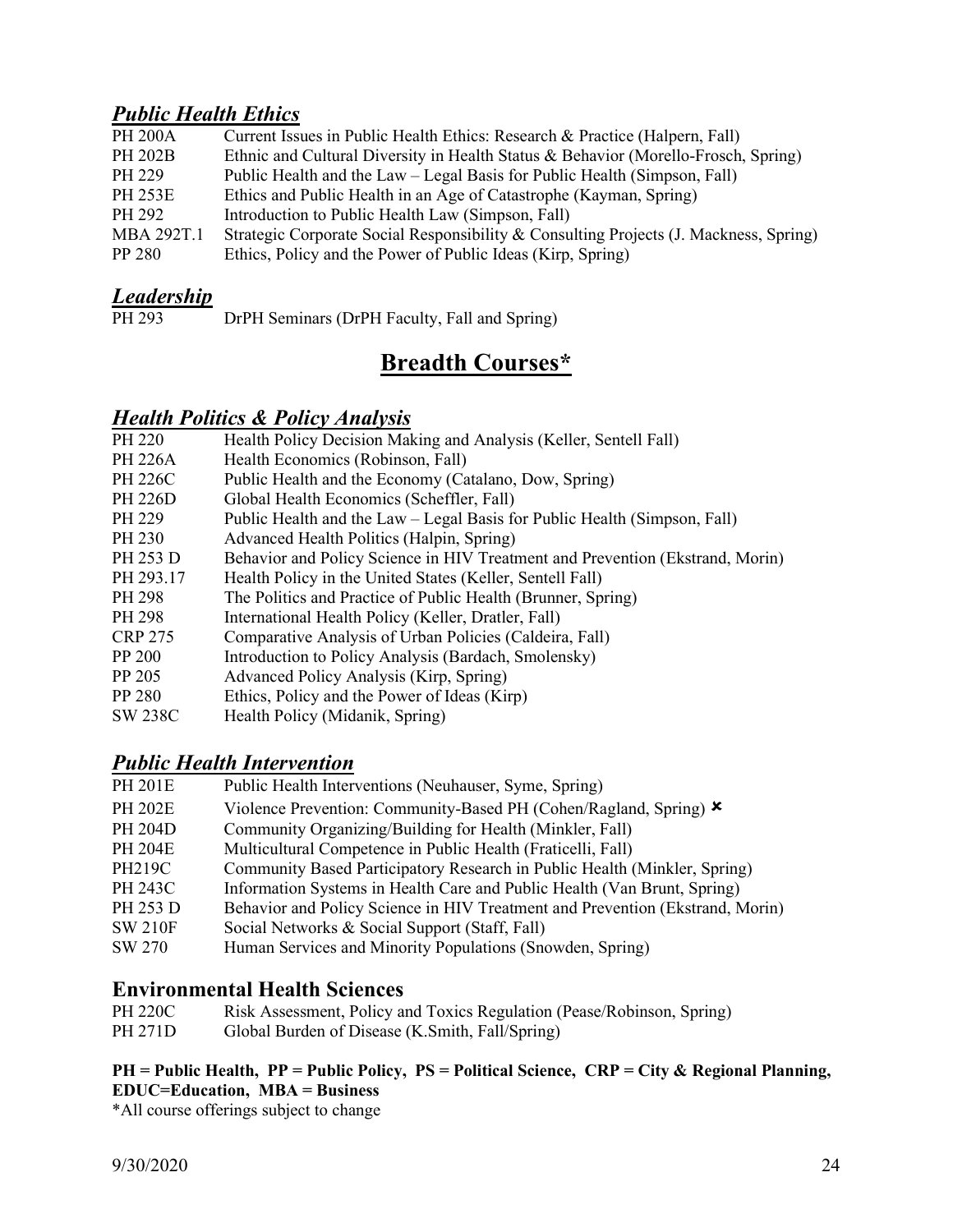#### *Public Health Ethics*

| <b>PH 200A</b> | Current Issues in Public Health Ethics: Research & Practice (Halpern, Fall)           |
|----------------|---------------------------------------------------------------------------------------|
| <b>PH 202B</b> | Ethnic and Cultural Diversity in Health Status & Behavior (Morello-Frosch, Spring)    |
| PH 229         | Public Health and the Law – Legal Basis for Public Health (Simpson, Fall)             |
| <b>PH 253E</b> | Ethics and Public Health in an Age of Catastrophe (Kayman, Spring)                    |
| PH 292         | Introduction to Public Health Law (Simpson, Fall)                                     |
| MBA 292T.1     | Strategic Corporate Social Responsibility & Consulting Projects (J. Mackness, Spring) |
| PP 280         | Ethics, Policy and the Power of Public Ideas (Kirp, Spring)                           |

#### *Leadership*

| PH 293 | DrPH Seminars (DrPH Faculty, Fall and Spring) |  |
|--------|-----------------------------------------------|--|
|        |                                               |  |

### **Breadth Courses\***

#### *Health Politics & Policy Analysis*

| PH 220         | Health Policy Decision Making and Analysis (Keller, Sentell Fall)             |
|----------------|-------------------------------------------------------------------------------|
| <b>PH 226A</b> | Health Economics (Robinson, Fall)                                             |
| <b>PH 226C</b> | Public Health and the Economy (Catalano, Dow, Spring)                         |
| <b>PH 226D</b> | Global Health Economics (Scheffler, Fall)                                     |
| PH 229         | Public Health and the Law – Legal Basis for Public Health (Simpson, Fall)     |
| PH 230         | Advanced Health Politics (Halpin, Spring)                                     |
| PH 253 D       | Behavior and Policy Science in HIV Treatment and Prevention (Ekstrand, Morin) |
| PH 293.17      | Health Policy in the United States (Keller, Sentell Fall)                     |
| PH 298         | The Politics and Practice of Public Health (Brunner, Spring)                  |
| PH 298         | International Health Policy (Keller, Dratler, Fall)                           |
| <b>CRP 275</b> | Comparative Analysis of Urban Policies (Caldeira, Fall)                       |
| PP 200         | Introduction to Policy Analysis (Bardach, Smolensky)                          |
| PP 205         | Advanced Policy Analysis (Kirp, Spring)                                       |
| <b>PP 280</b>  | Ethics, Policy and the Power of Ideas (Kirp)                                  |
| SW 238C        | Health Policy (Midanik, Spring)                                               |

#### *Public Health Intervention*

| PH 201E        | Public Health Interventions (Neuhauser, Syme, Spring)                         |
|----------------|-------------------------------------------------------------------------------|
| <b>PH 202E</b> | Violence Prevention: Community-Based PH (Cohen/Ragland, Spring) $\star$       |
| <b>PH 204D</b> | Community Organizing/Building for Health (Minkler, Fall)                      |
| PH 204E        | Multicultural Competence in Public Health (Fraticelli, Fall)                  |
| <b>PH219C</b>  | Community Based Participatory Research in Public Health (Minkler, Spring)     |
| PH 243C        | Information Systems in Health Care and Public Health (Van Brunt, Spring)      |
| PH 253 D       | Behavior and Policy Science in HIV Treatment and Prevention (Ekstrand, Morin) |
| <b>SW 210F</b> | Social Networks & Social Support (Staff, Fall)                                |
| SW 270         | Human Services and Minority Populations (Snowden, Spring)                     |

#### **Environmental Health Sciences**

| <b>PH 220C</b> | Risk Assessment, Policy and Toxics Regulation (Pease/Robinson, Spring) |  |  |
|----------------|------------------------------------------------------------------------|--|--|
| <b>DITARID</b> | $\sim$ $\sim$ $\sim$ $\sim$<br>$\sim$ 1 1 $\sim$                       |  |  |

PH 271D Global Burden of Disease (K.Smith, Fall/Spring)

#### **PH = Public Health, PP = Public Policy, PS = Political Science, CRP = City & Regional Planning, EDUC=Education, MBA = Business**

\*All course offerings subject to change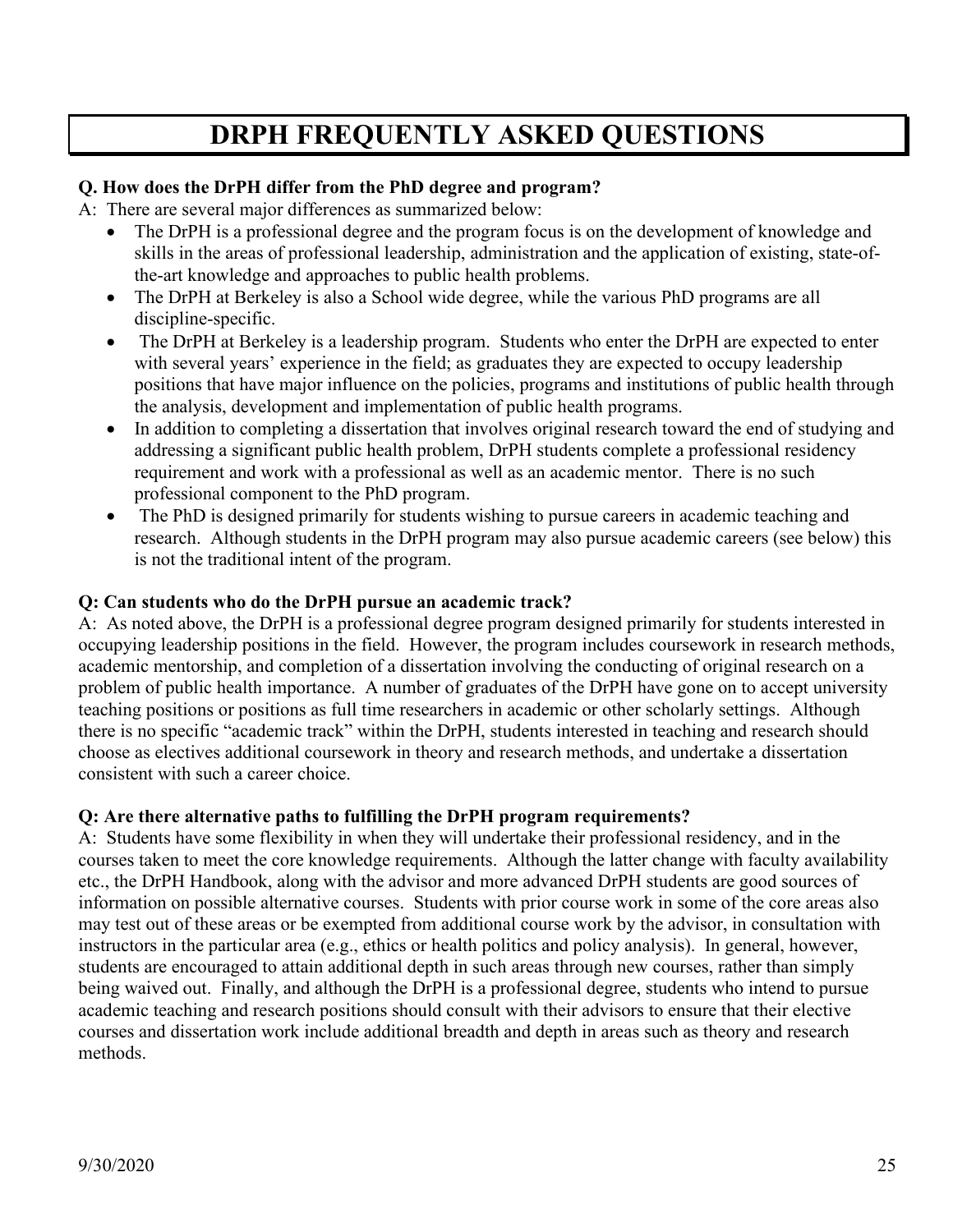### **DRPH FREQUENTLY ASKED QUESTIONS**

#### **Q. How does the DrPH differ from the PhD degree and program?**

A: There are several major differences as summarized below:

- The DrPH is a professional degree and the program focus is on the development of knowledge and skills in the areas of professional leadership, administration and the application of existing, state-ofthe-art knowledge and approaches to public health problems.
- The DrPH at Berkeley is also a School wide degree, while the various PhD programs are all discipline-specific.
- The DrPH at Berkeley is a leadership program. Students who enter the DrPH are expected to enter with several years' experience in the field; as graduates they are expected to occupy leadership positions that have major influence on the policies, programs and institutions of public health through the analysis, development and implementation of public health programs.
- In addition to completing a dissertation that involves original research toward the end of studying and addressing a significant public health problem, DrPH students complete a professional residency requirement and work with a professional as well as an academic mentor. There is no such professional component to the PhD program.
- The PhD is designed primarily for students wishing to pursue careers in academic teaching and research. Although students in the DrPH program may also pursue academic careers (see below) this is not the traditional intent of the program.

#### **Q: Can students who do the DrPH pursue an academic track?**

A: As noted above, the DrPH is a professional degree program designed primarily for students interested in occupying leadership positions in the field. However, the program includes coursework in research methods, academic mentorship, and completion of a dissertation involving the conducting of original research on a problem of public health importance. A number of graduates of the DrPH have gone on to accept university teaching positions or positions as full time researchers in academic or other scholarly settings. Although there is no specific "academic track" within the DrPH, students interested in teaching and research should choose as electives additional coursework in theory and research methods, and undertake a dissertation consistent with such a career choice.

#### **Q: Are there alternative paths to fulfilling the DrPH program requirements?**

A: Students have some flexibility in when they will undertake their professional residency, and in the courses taken to meet the core knowledge requirements. Although the latter change with faculty availability etc., the DrPH Handbook, along with the advisor and more advanced DrPH students are good sources of information on possible alternative courses. Students with prior course work in some of the core areas also may test out of these areas or be exempted from additional course work by the advisor, in consultation with instructors in the particular area (e.g., ethics or health politics and policy analysis). In general, however, students are encouraged to attain additional depth in such areas through new courses, rather than simply being waived out. Finally, and although the DrPH is a professional degree, students who intend to pursue academic teaching and research positions should consult with their advisors to ensure that their elective courses and dissertation work include additional breadth and depth in areas such as theory and research methods.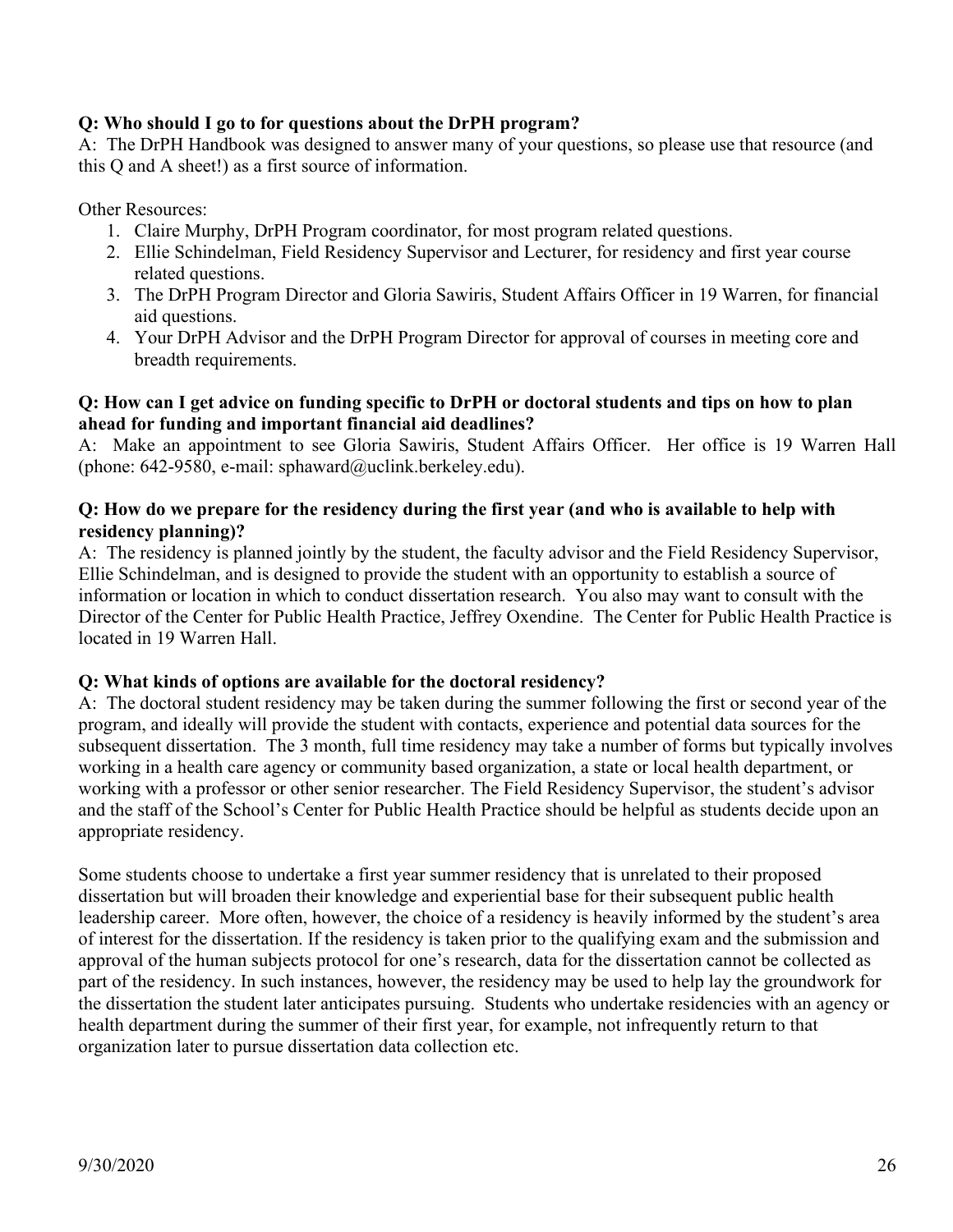#### **Q: Who should I go to for questions about the DrPH program?**

A: The DrPH Handbook was designed to answer many of your questions, so please use that resource (and this Q and A sheet!) as a first source of information.

Other Resources:

- 1. Claire Murphy, DrPH Program coordinator, for most program related questions.
- 2. Ellie Schindelman, Field Residency Supervisor and Lecturer, for residency and first year course related questions.
- 3. The DrPH Program Director and Gloria Sawiris, Student Affairs Officer in 19 Warren, for financial aid questions.
- 4. Your DrPH Advisor and the DrPH Program Director for approval of courses in meeting core and breadth requirements.

#### **Q: How can I get advice on funding specific to DrPH or doctoral students and tips on how to plan ahead for funding and important financial aid deadlines?**

A: Make an appointment to see Gloria Sawiris, Student Affairs Officer. Her office is 19 Warren Hall (phone: 642-9580, e-mail: sphaward@uclink.berkeley.edu).

#### **Q: How do we prepare for the residency during the first year (and who is available to help with residency planning)?**

A: The residency is planned jointly by the student, the faculty advisor and the Field Residency Supervisor, Ellie Schindelman, and is designed to provide the student with an opportunity to establish a source of information or location in which to conduct dissertation research. You also may want to consult with the Director of the Center for Public Health Practice, Jeffrey Oxendine. The Center for Public Health Practice is located in 19 Warren Hall.

#### **Q: What kinds of options are available for the doctoral residency?**

A: The doctoral student residency may be taken during the summer following the first or second year of the program, and ideally will provide the student with contacts, experience and potential data sources for the subsequent dissertation. The 3 month, full time residency may take a number of forms but typically involves working in a health care agency or community based organization, a state or local health department, or working with a professor or other senior researcher. The Field Residency Supervisor, the student's advisor and the staff of the School's Center for Public Health Practice should be helpful as students decide upon an appropriate residency.

Some students choose to undertake a first year summer residency that is unrelated to their proposed dissertation but will broaden their knowledge and experiential base for their subsequent public health leadership career. More often, however, the choice of a residency is heavily informed by the student's area of interest for the dissertation. If the residency is taken prior to the qualifying exam and the submission and approval of the human subjects protocol for one's research, data for the dissertation cannot be collected as part of the residency. In such instances, however, the residency may be used to help lay the groundwork for the dissertation the student later anticipates pursuing. Students who undertake residencies with an agency or health department during the summer of their first year, for example, not infrequently return to that organization later to pursue dissertation data collection etc.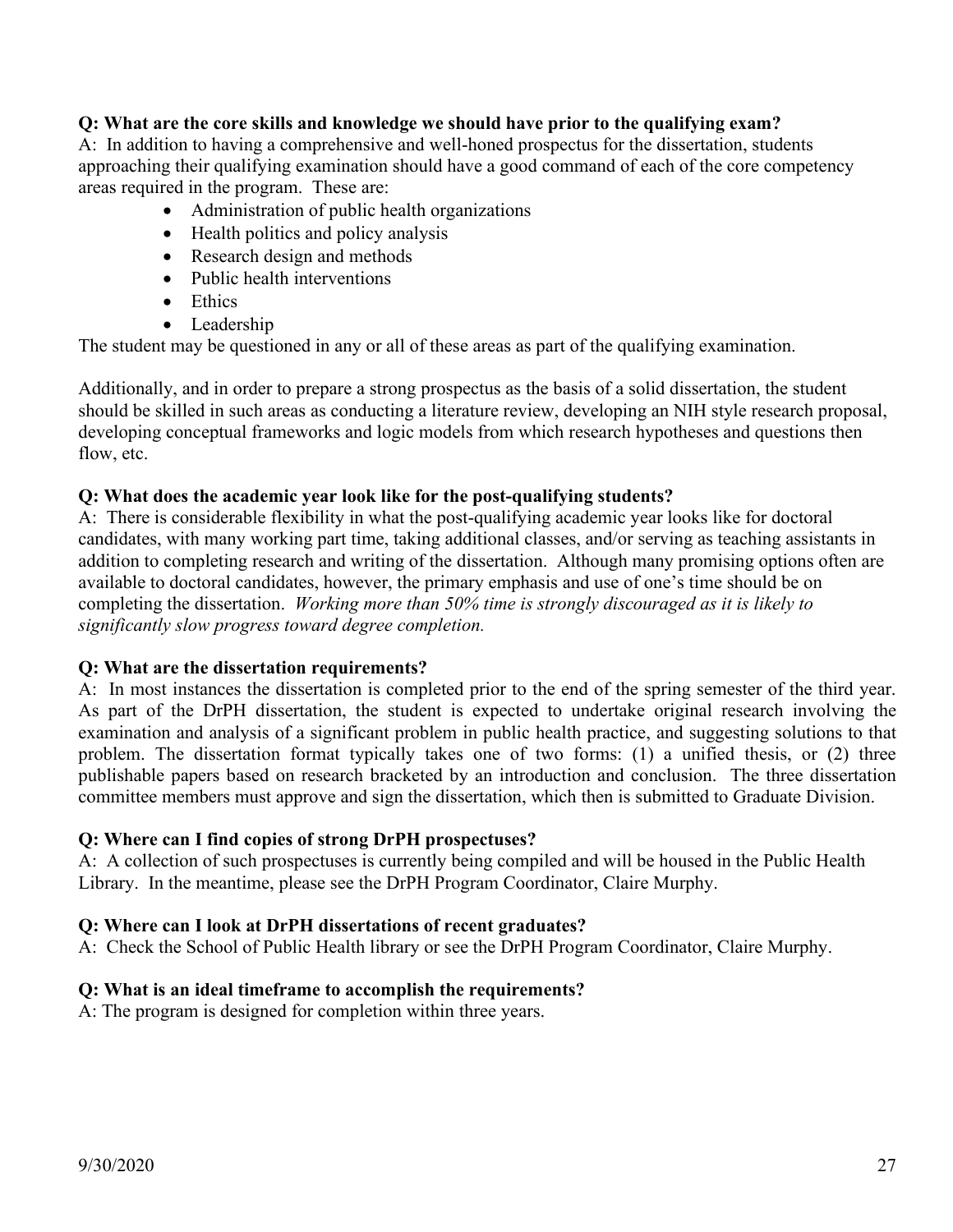#### **Q: What are the core skills and knowledge we should have prior to the qualifying exam?**

A: In addition to having a comprehensive and well-honed prospectus for the dissertation, students approaching their qualifying examination should have a good command of each of the core competency areas required in the program. These are:

- Administration of public health organizations
- Health politics and policy analysis
- Research design and methods
- Public health interventions
- Ethics
- Leadership

The student may be questioned in any or all of these areas as part of the qualifying examination.

Additionally, and in order to prepare a strong prospectus as the basis of a solid dissertation, the student should be skilled in such areas as conducting a literature review, developing an NIH style research proposal, developing conceptual frameworks and logic models from which research hypotheses and questions then flow, etc.

#### **Q: What does the academic year look like for the post-qualifying students?**

A: There is considerable flexibility in what the post-qualifying academic year looks like for doctoral candidates, with many working part time, taking additional classes, and/or serving as teaching assistants in addition to completing research and writing of the dissertation. Although many promising options often are available to doctoral candidates, however, the primary emphasis and use of one's time should be on completing the dissertation. *Working more than 50% time is strongly discouraged as it is likely to significantly slow progress toward degree completion.*

#### **Q: What are the dissertation requirements?**

A: In most instances the dissertation is completed prior to the end of the spring semester of the third year. As part of the DrPH dissertation, the student is expected to undertake original research involving the examination and analysis of a significant problem in public health practice, and suggesting solutions to that problem. The dissertation format typically takes one of two forms: (1) a unified thesis, or (2) three publishable papers based on research bracketed by an introduction and conclusion. The three dissertation committee members must approve and sign the dissertation, which then is submitted to Graduate Division.

#### **Q: Where can I find copies of strong DrPH prospectuses?**

A: A collection of such prospectuses is currently being compiled and will be housed in the Public Health Library. In the meantime, please see the DrPH Program Coordinator, Claire Murphy.

#### **Q: Where can I look at DrPH dissertations of recent graduates?**

A: Check the School of Public Health library or see the DrPH Program Coordinator, Claire Murphy.

#### **Q: What is an ideal timeframe to accomplish the requirements?**

A: The program is designed for completion within three years.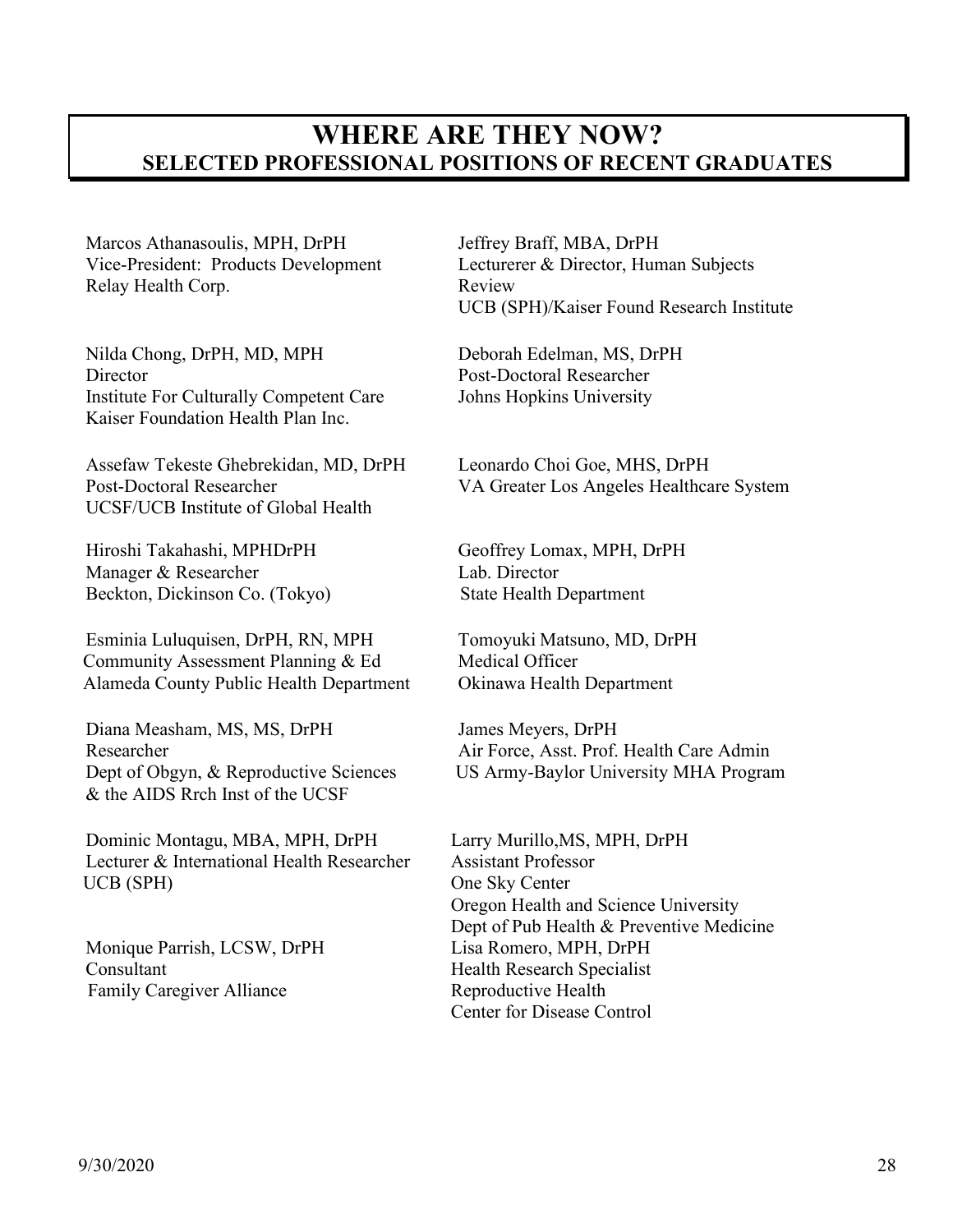### **WHERE ARE THEY NOW? SELECTED PROFESSIONAL POSITIONS OF RECENT GRADUATES**

Marcos Athanasoulis, MPH, DrPH Vice-President: Products Development Relay Health Corp.

Nilda Chong, DrPH, MD, MPH **Director** Institute For Culturally Competent Care Kaiser Foundation Health Plan Inc.

Assefaw Tekeste Ghebrekidan, MD, DrPH Post-Doctoral Researcher UCSF/UCB Institute of Global Health

Hiroshi Takahashi, MPHDrPH Manager & Researcher Beckton, Dickinson Co. (Tokyo)

Esminia Luluquisen, DrPH, RN, MPH Community Assessment Planning & Ed Alameda County Public Health Department

Diana Measham, MS, MS, DrPH Researcher Dept of Obgyn, & Reproductive Sciences & the AIDS Rrch Inst of the UCSF

Dominic Montagu, MBA, MPH, DrPH Lecturer & International Health Researcher UCB (SPH)

Monique Parrish, LCSW, DrPH Consultant Family Caregiver Alliance

Jeffrey Braff, MBA, DrPH Lecturerer & Director, Human Subjects Review UCB (SPH)/Kaiser Found Research Institute

Deborah Edelman, MS, DrPH Post-Doctoral Researcher Johns Hopkins University

Leonardo Choi Goe, MHS, DrPH VA Greater Los Angeles Healthcare System

Geoffrey Lomax, MPH, DrPH Lab. Director State Health Department

Tomoyuki Matsuno, MD, DrPH Medical Officer Okinawa Health Department

James Meyers, DrPH Air Force, Asst. Prof. Health Care Admin US Army-Baylor University MHA Program

Larry Murillo,MS, MPH, DrPH Assistant Professor One Sky Center Oregon Health and Science University Dept of Pub Health & Preventive Medicine Lisa Romero, MPH, DrPH Health Research Specialist Reproductive Health Center for Disease Control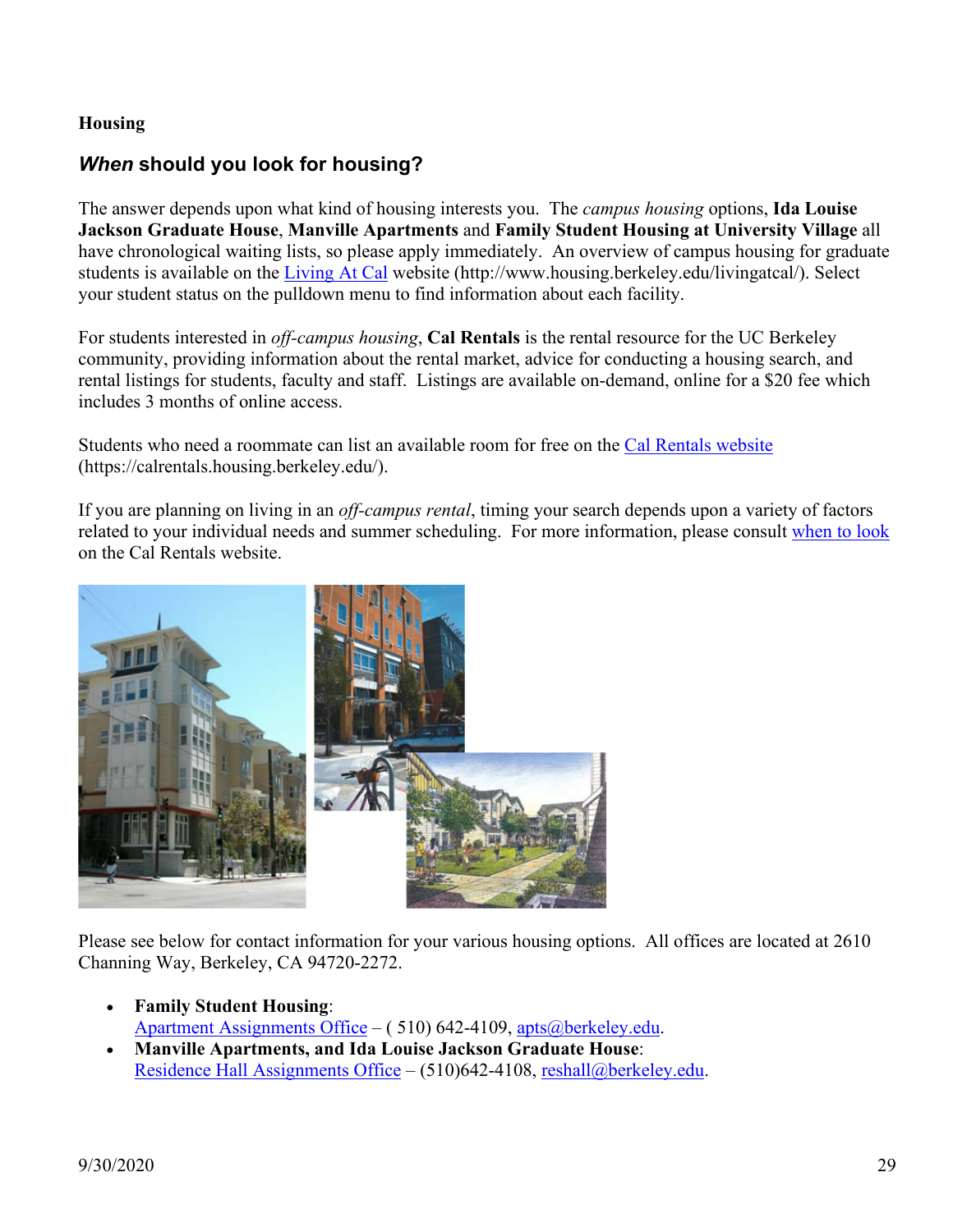#### **Housing**

#### *When* **should you look for housing?**

The answer depends upon what kind of housing interests you. The *campus housing* options, **Ida Louise Jackson Graduate House**, **Manville Apartments** and **Family Student Housing at University Village** all have chronological waiting lists, so please apply immediately. An overview of campus housing for graduate students is available on the [Living At Cal](http://www.housing.berkeley.edu/livingatcal/) website (http://www.housing.berkeley.edu/livingatcal/). Select your student status on the pulldown menu to find information about each facility.

For students interested in *off-campus housing*, **Cal Rentals** is the rental resource for the UC Berkeley community, providing information about the rental market, advice for conducting a housing search, and rental listings for students, faculty and staff. Listings are available on-demand, online for a \$20 fee which includes 3 months of online access.

Students who need a roommate can list an available room for free on the [Cal Rentals website](https://calrentals.housing.berkeley.edu/) (https://calrentals.housing.berkeley.edu/).

If you are planning on living in an *off-campus rental*, timing your search depends upon a variety of factors related to your individual needs and summer scheduling. For more information, please consult [when to look](https://calrentals.housing.berkeley.edu/flyers/When_to_Look.pdf) on the Cal Rentals website.



Please see below for contact information for your various housing options. All offices are located at 2610 Channing Way, Berkeley, CA 94720-2272.

- **Family Student Housing**: [Apartment Assignments Office](http://www.housing.berkeley.edu/livingatcal/studentsfamilies.html) – ( 510) 642-4109, [apts@berkeley.edu.](mailto:apts@berkeley.edu)
- **Manville Apartments, and Ida Louise Jackson Graduate House**: [Residence Hall Assignments Office](http://www.housing.berkeley.edu/livingatcal/graduatestudents.html) – (510)642-4108, [reshall@berkeley.edu.](mailto:reshall@berkeley.edu)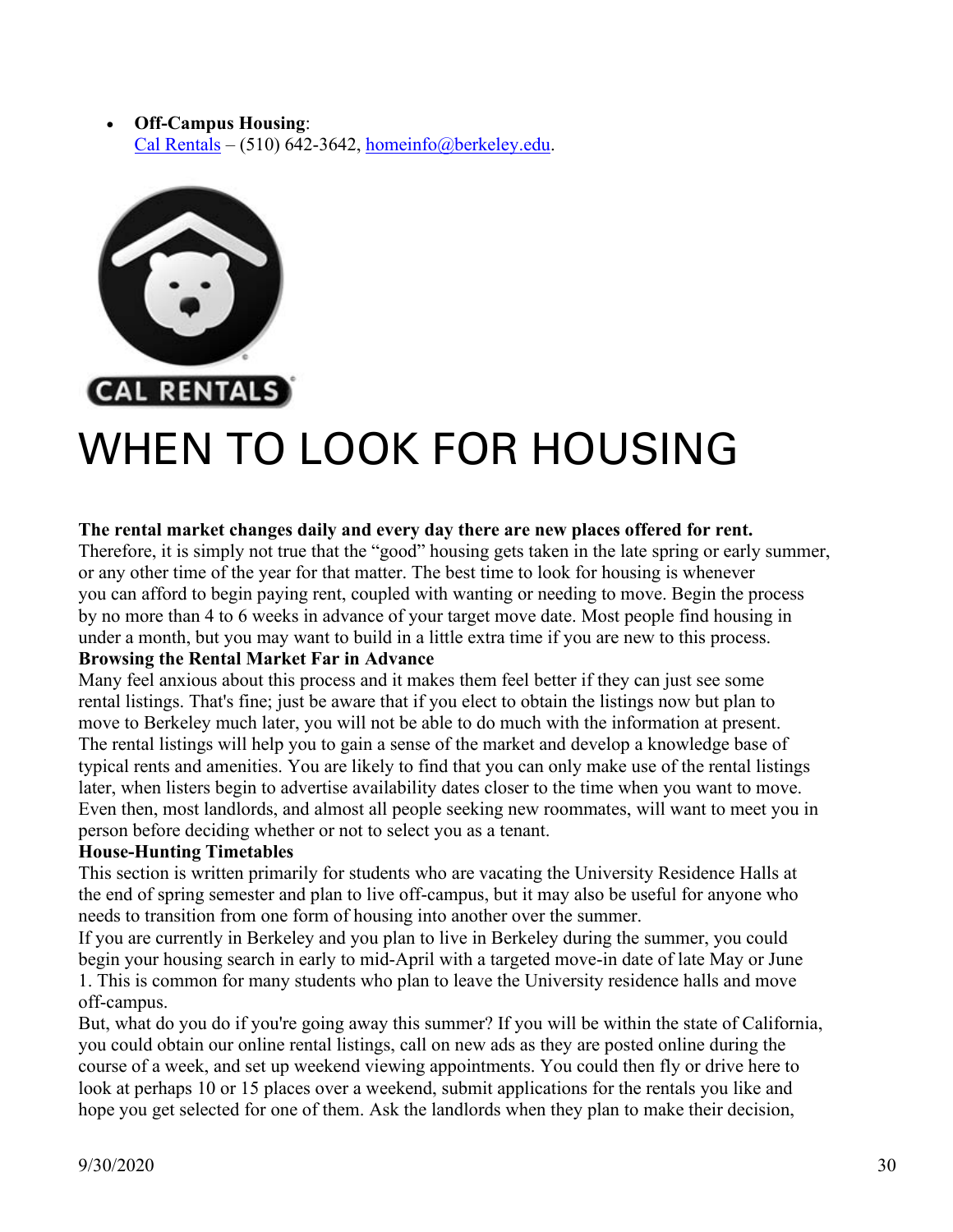• **Off-Campus Housing**: [Cal Rentals](http://calrentals.berkeley.edu/) – (510) 642-3642, [homeinfo@berkeley.edu.](mailto:homeinfo@berkeley.edu)



# WHEN TO LOOK FOR HOUSING

#### **The rental market changes daily and every day there are new places offered for rent.**

Therefore, it is simply not true that the "good" housing gets taken in the late spring or early summer, or any other time of the year for that matter. The best time to look for housing is whenever you can afford to begin paying rent, coupled with wanting or needing to move. Begin the process by no more than 4 to 6 weeks in advance of your target move date. Most people find housing in under a month, but you may want to build in a little extra time if you are new to this process.

#### **Browsing the Rental Market Far in Advance**

Many feel anxious about this process and it makes them feel better if they can just see some rental listings. That's fine; just be aware that if you elect to obtain the listings now but plan to move to Berkeley much later, you will not be able to do much with the information at present. The rental listings will help you to gain a sense of the market and develop a knowledge base of typical rents and amenities. You are likely to find that you can only make use of the rental listings later, when listers begin to advertise availability dates closer to the time when you want to move. Even then, most landlords, and almost all people seeking new roommates, will want to meet you in person before deciding whether or not to select you as a tenant.

#### **House-Hunting Timetables**

This section is written primarily for students who are vacating the University Residence Halls at the end of spring semester and plan to live off-campus, but it may also be useful for anyone who needs to transition from one form of housing into another over the summer.

If you are currently in Berkeley and you plan to live in Berkeley during the summer, you could begin your housing search in early to mid-April with a targeted move-in date of late May or June 1. This is common for many students who plan to leave the University residence halls and move off-campus.

But, what do you do if you're going away this summer? If you will be within the state of California, you could obtain our online rental listings, call on new ads as they are posted online during the course of a week, and set up weekend viewing appointments. You could then fly or drive here to look at perhaps 10 or 15 places over a weekend, submit applications for the rentals you like and hope you get selected for one of them. Ask the landlords when they plan to make their decision,